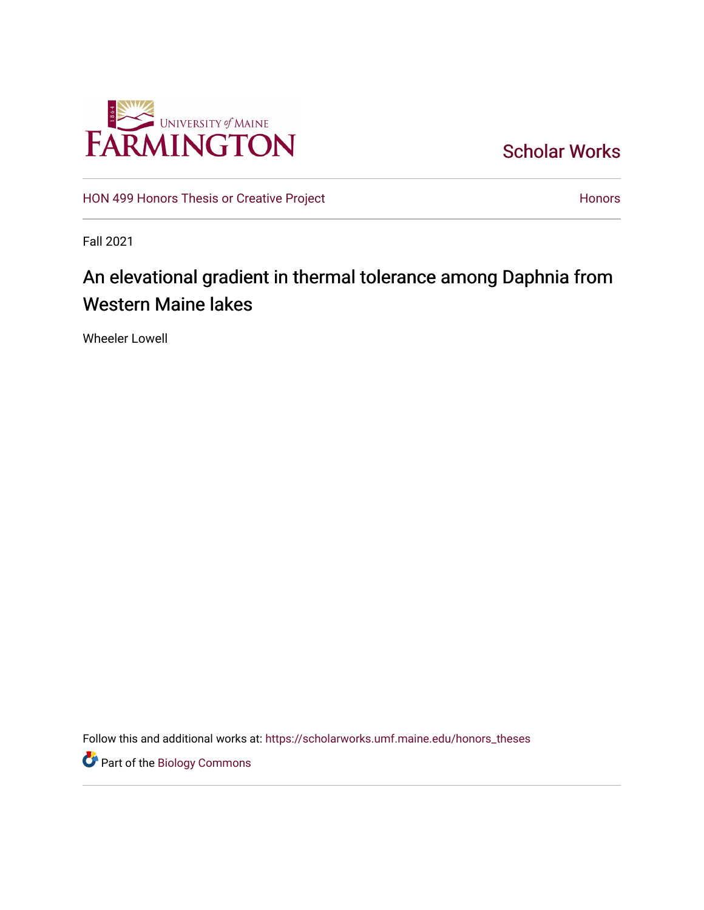

[Scholar Works](https://scholarworks.umf.maine.edu/) 

[HON 499 Honors Thesis or Creative Project](https://scholarworks.umf.maine.edu/honors_theses) **Honors** [Honors](https://scholarworks.umf.maine.edu/honors) Honors

Fall 2021

# An elevational gradient in thermal tolerance among Daphnia from Western Maine lakes

Wheeler Lowell

Follow this and additional works at: [https://scholarworks.umf.maine.edu/honors\\_theses](https://scholarworks.umf.maine.edu/honors_theses?utm_source=scholarworks.umf.maine.edu%2Fhonors_theses%2F16&utm_medium=PDF&utm_campaign=PDFCoverPages) 

**Part of the Biology Commons**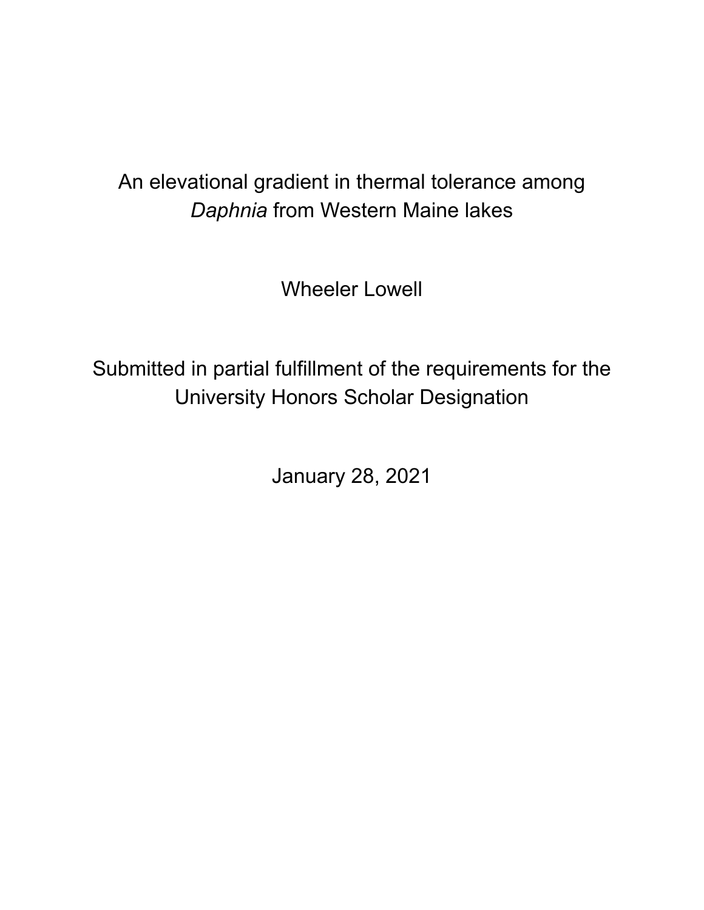# An elevational gradient in thermal tolerance among *Daphnia* from Western Maine lakes

Wheeler Lowell

Submitted in partial fulfillment of the requirements for the University Honors Scholar Designation

January 28, 2021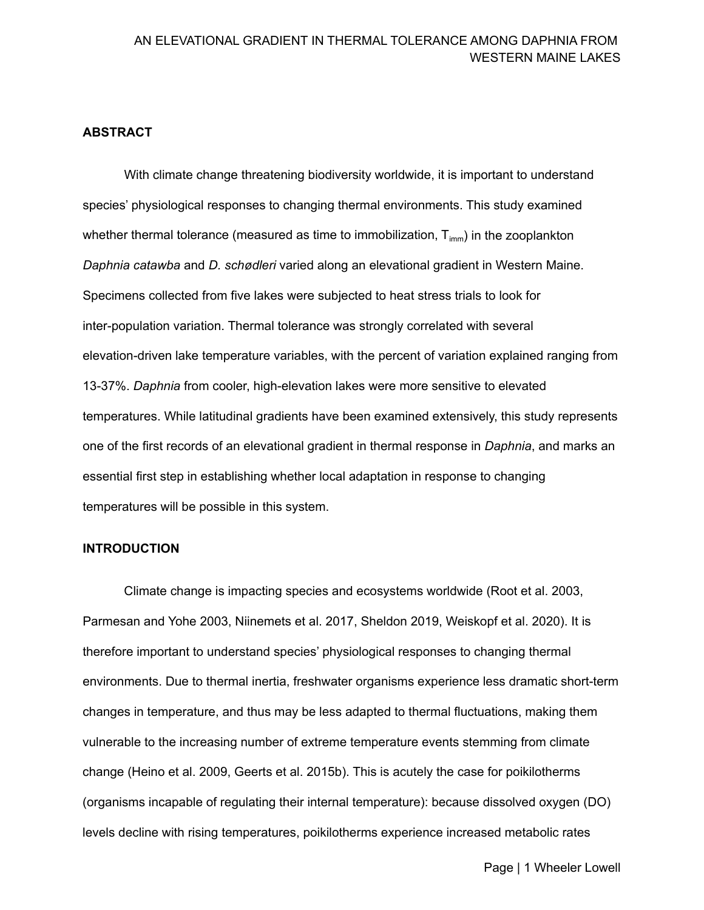#### **ABSTRACT**

 With climate change threatening biodiversity worldwide, it is important to understand species' physiological responses to changing thermal environments. This study examined whether thermal tolerance (measured as time to immobilization,  ${\mathsf T}_{\mathsf{imm}}$ ) in the zooplankton *Daphnia catawba* and *D. schødleri* varied along an elevational gradient in Western Maine. Specimens collected from five lakes were subjected to heat stress trials to look for inter-population variation. Thermal tolerance was strongly correlated with several elevation-driven lake temperature variables, with the percent of variation explained ranging from 13-37%. *Daphnia* from cooler, high-elevation lakes were more sensitive to elevated temperatures. While latitudinal gradients have been examined extensively, this study represents one of the first records of an elevational gradient in thermal response in *Daphnia*, and marks an essential first step in establishing whether local adaptation in response to changing temperatures will be possible in this system.

#### **INTRODUCTION**

 Climate change is impacting species and ecosystems worldwide (Root et al. 2003, Parmesan and Yohe 2003, Niinemets et al. 2017, Sheldon 2019, Weiskopf et al. 2020). It is therefore important to understand species' physiological responses to changing thermal environments. Due to thermal inertia, freshwater organisms experience less dramatic short-term changes in temperature, and thus may be less adapted to thermal fluctuations, making them vulnerable to the increasing number of extreme temperature events stemming from climate change (Heino et al. 2009, Geerts et al. 2015b). This is acutely the case for poikilotherms (organisms incapable of regulating their internal temperature): because dissolved oxygen (DO) levels decline with rising temperatures, poikilotherms experience increased metabolic rates

Page | 1 Wheeler Lowell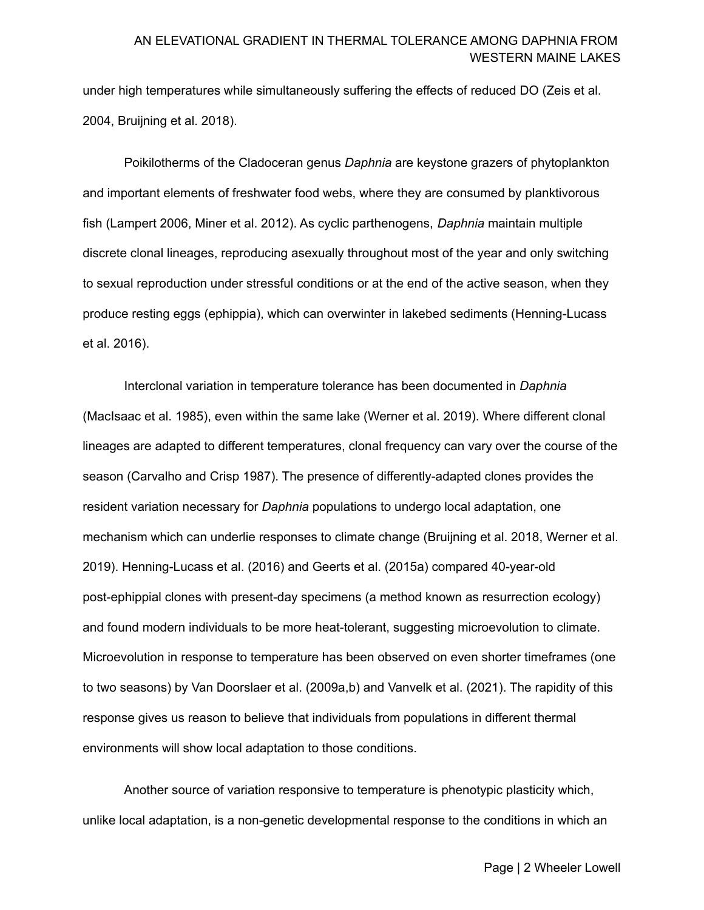under high temperatures while simultaneously suffering the effects of reduced DO (Zeis et al. 2004, Bruijning et al. 2018).

 Poikilotherms of the Cladoceran genus *Daphnia* are keystone grazers of phytoplankton and important elements of freshwater food webs, where they are consumed by planktivorous fish (Lampert 2006, Miner et al. 2012). As cyclic parthenogens, *Daphnia* maintain multiple discrete clonal lineages, reproducing asexually throughout most of the year and only switching to sexual reproduction under stressful conditions or at the end of the active season, when they produce resting eggs (ephippia), which can overwinter in lakebed sediments (Henning-Lucass et al. 2016).

 Interclonal variation in temperature tolerance has been documented in *Daphnia* (MacIsaac et al. 1985), even within the same lake (Werner et al. 2019). Where different clonal lineages are adapted to different temperatures, clonal frequency can vary over the course of the season (Carvalho and Crisp 1987). The presence of differently-adapted clones provides the resident variation necessary for *Daphnia* populations to undergo local adaptation, one mechanism which can underlie responses to climate change (Bruijning et al. 2018, Werner et al. 2019). Henning-Lucass et al. (2016) and Geerts et al. (2015a) compared 40-year-old post-ephippial clones with present-day specimens (a method known as resurrection ecology) and found modern individuals to be more heat-tolerant, suggesting microevolution to climate. Microevolution in response to temperature has been observed on even shorter timeframes (one to two seasons) by Van Doorslaer et al. (2009a,b) and Vanvelk et al. (2021). The rapidity of this response gives us reason to believe that individuals from populations in different thermal environments will show local adaptation to those conditions.

 Another source of variation responsive to temperature is phenotypic plasticity which, unlike local adaptation, is a non-genetic developmental response to the conditions in which an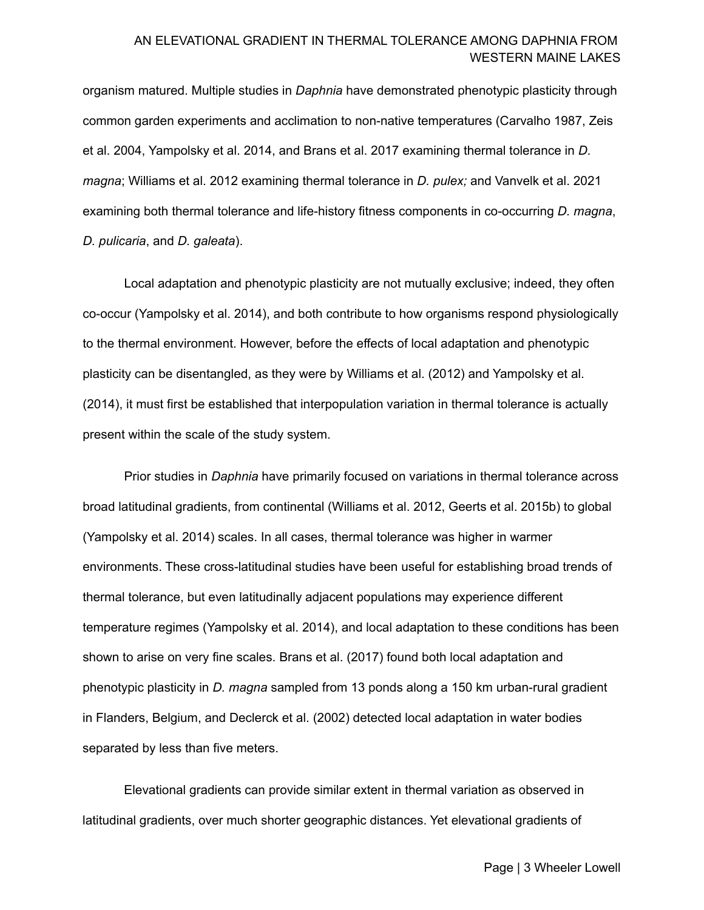organism matured. Multiple studies in *Daphnia* have demonstrated phenotypic plasticity through common garden experiments and acclimation to non-native temperatures (Carvalho 1987, Zeis et al. 2004, Yampolsky et al. 2014, and Brans et al. 2017 examining thermal tolerance in *D. magna*; Williams et al. 2012 examining thermal tolerance in *D. pulex;* and Vanvelk et al. 2021 examining both thermal tolerance and life-history fitness components in co-occurring *D. magna*, *D. pulicaria*, and *D. galeata*).

 Local adaptation and phenotypic plasticity are not mutually exclusive; indeed, they often co-occur (Yampolsky et al. 2014), and both contribute to how organisms respond physiologically to the thermal environment. However, before the effects of local adaptation and phenotypic plasticity can be disentangled, as they were by Williams et al. (2012) and Yampolsky et al. (2014), it must first be established that interpopulation variation in thermal tolerance is actually present within the scale of the study system.

 Prior studies in *Daphnia* have primarily focused on variations in thermal tolerance across broad latitudinal gradients, from continental (Williams et al. 2012, Geerts et al. 2015b) to global (Yampolsky et al. 2014) scales. In all cases, thermal tolerance was higher in warmer environments. These cross-latitudinal studies have been useful for establishing broad trends of thermal tolerance, but even latitudinally adjacent populations may experience different temperature regimes (Yampolsky et al. 2014), and local adaptation to these conditions has been shown to arise on very fine scales. Brans et al. (2017) found both local adaptation and phenotypic plasticity in *D. magna* sampled from 13 ponds along a 150 km urban-rural gradient in Flanders, Belgium, and Declerck et al. (2002) detected local adaptation in water bodies separated by less than five meters.

 Elevational gradients can provide similar extent in thermal variation as observed in latitudinal gradients, over much shorter geographic distances. Yet elevational gradients of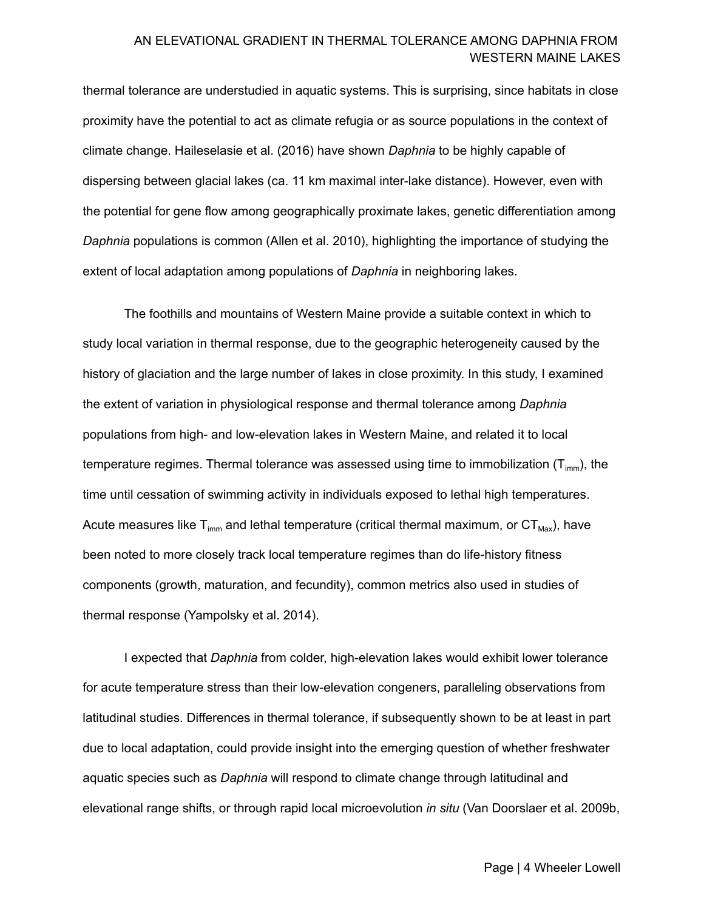thermal tolerance are understudied in aquatic systems. This is surprising, since habitats in close proximity have the potential to act as climate refugia or as source populations in the context of climate change. Haileselasie et al. (2016) have shown *Daphnia* to be highly capable of dispersing between glacial lakes (ca. 11 km maximal inter-lake distance). However, even with the potential for gene flow among geographically proximate lakes, genetic differentiation among *Daphnia* populations is common (Allen et al. 2010), highlighting the importance of studying the extent of local adaptation among populations of *Daphnia* in neighboring lakes.

 The foothills and mountains of Western Maine provide a suitable context in which to study local variation in thermal response, due to the geographic heterogeneity caused by the history of glaciation and the large number of lakes in close proximity. In this study, I examined the extent of variation in physiological response and thermal tolerance among *Daphnia* populations from high- and low-elevation lakes in Western Maine, and related it to local temperature regimes. Thermal tolerance was assessed using time to immobilization (T $_{\rm imm}$ ), the time until cessation of swimming activity in individuals exposed to lethal high temperatures. Acute measures like T $_{\sf imm}$  and lethal temperature (critical thermal maximum, or  $\textsf{CT}_\textsf{Max}$ ), have been noted to more closely track local temperature regimes than do life-history fitness components (growth, maturation, and fecundity), common metrics also used in studies of thermal response (Yampolsky et al. 2014).

 I expected that *Daphnia* from colder, high-elevation lakes would exhibit lower tolerance for acute temperature stress than their low-elevation congeners, paralleling observations from latitudinal studies. Differences in thermal tolerance, if subsequently shown to be at least in part due to local adaptation, could provide insight into the emerging question of whether freshwater aquatic species such as *Daphnia* will respond to climate change through latitudinal and elevational range shifts, or through rapid local microevolution *in situ* (Van Doorslaer et al. 2009b,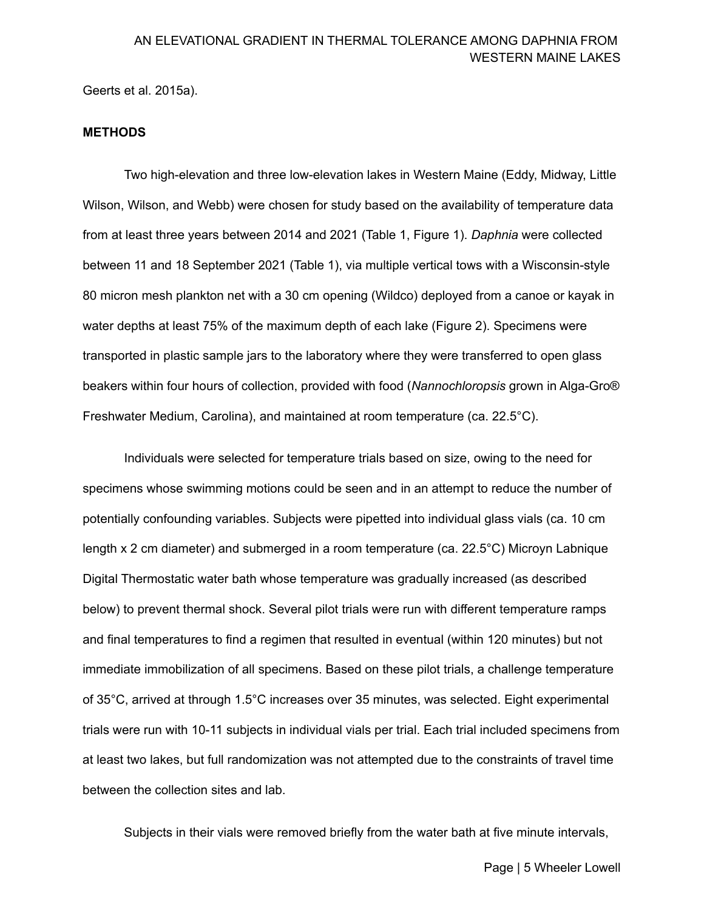Geerts et al. 2015a).

#### **METHODS**

 Two high-elevation and three low-elevation lakes in Western Maine (Eddy, Midway, Little Wilson, Wilson, and Webb) were chosen for study based on the availability of temperature data from at least three years between 2014 and 2021 (Table 1, Figure 1). *Daphnia* were collected between 11 and 18 September 2021 (Table 1), via multiple vertical tows with a Wisconsin-style 80 micron mesh plankton net with a 30 cm opening (Wildco) deployed from a canoe or kayak in water depths at least 75% of the maximum depth of each lake (Figure 2). Specimens were transported in plastic sample jars to the laboratory where they were transferred to open glass beakers within four hours of collection, provided with food (*Nannochloropsis* grown in Alga-Gro® Freshwater Medium, Carolina), and maintained at room temperature (ca. 22.5°C).

 Individuals were selected for temperature trials based on size, owing to the need for specimens whose swimming motions could be seen and in an attempt to reduce the number of potentially confounding variables. Subjects were pipetted into individual glass vials (ca. 10 cm length x 2 cm diameter) and submerged in a room temperature (ca. 22.5°C) Microyn Labnique Digital Thermostatic water bath whose temperature was gradually increased (as described below) to prevent thermal shock. Several pilot trials were run with different temperature ramps and final temperatures to find a regimen that resulted in eventual (within 120 minutes) but not immediate immobilization of all specimens. Based on these pilot trials, a challenge temperature of 35°C, arrived at through 1.5°C increases over 35 minutes, was selected. Eight experimental trials were run with 10-11 subjects in individual vials per trial. Each trial included specimens from at least two lakes, but full randomization was not attempted due to the constraints of travel time between the collection sites and lab.

Subjects in their vials were removed briefly from the water bath at five minute intervals,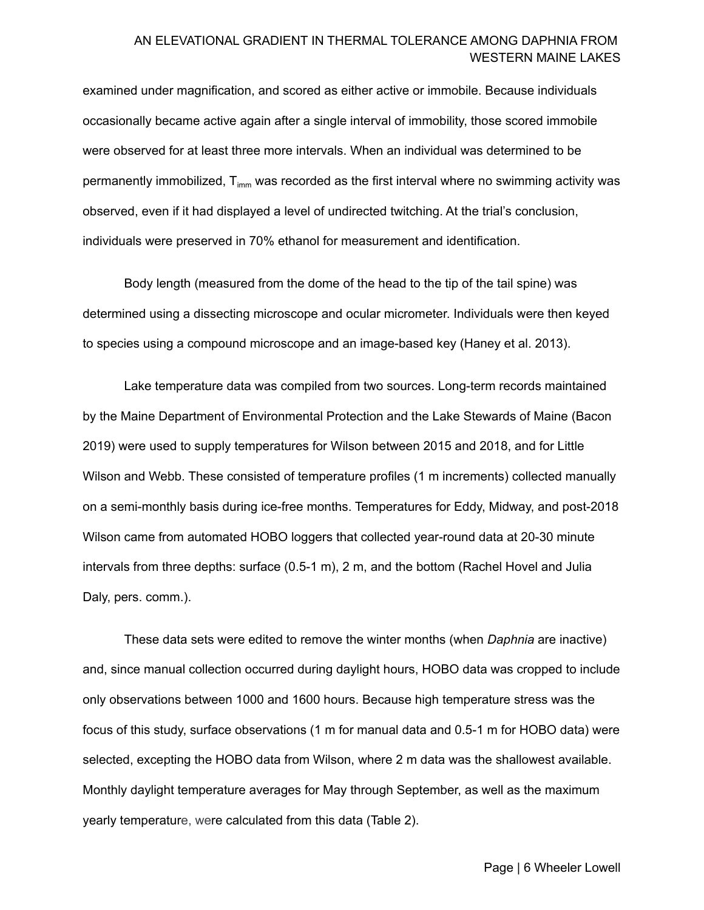examined under magnification, and scored as either active or immobile. Because individuals occasionally became active again after a single interval of immobility, those scored immobile were observed for at least three more intervals. When an individual was determined to be permanently immobilized, T $_{\text{imm}}$  was recorded as the first interval where no swimming activity was observed, even if it had displayed a level of undirected twitching. At the trial's conclusion, individuals were preserved in 70% ethanol for measurement and identification.

 Body length (measured from the dome of the head to the tip of the tail spine) was determined using a dissecting microscope and ocular micrometer. Individuals were then keyed to species using a compound microscope and an image-based key (Haney et al. 2013).

 Lake temperature data was compiled from two sources. Long-term records maintained by the Maine Department of Environmental Protection and the Lake Stewards of Maine (Bacon 2019) were used to supply temperatures for Wilson between 2015 and 2018, and for Little Wilson and Webb. These consisted of temperature profiles (1 m increments) collected manually on a semi-monthly basis during ice-free months. Temperatures for Eddy, Midway, and post-2018 Wilson came from automated HOBO loggers that collected year-round data at 20-30 minute intervals from three depths: surface (0.5-1 m), 2 m, and the bottom (Rachel Hovel and Julia Daly, pers. comm.).

 These data sets were edited to remove the winter months (when *Daphnia* are inactive) and, since manual collection occurred during daylight hours, HOBO data was cropped to include only observations between 1000 and 1600 hours. Because high temperature stress was the focus of this study, surface observations (1 m for manual data and 0.5-1 m for HOBO data) were selected, excepting the HOBO data from Wilson, where 2 m data was the shallowest available. Monthly daylight temperature averages for May through September, as well as the maximum yearly temperature, were calculated from this data (Table 2).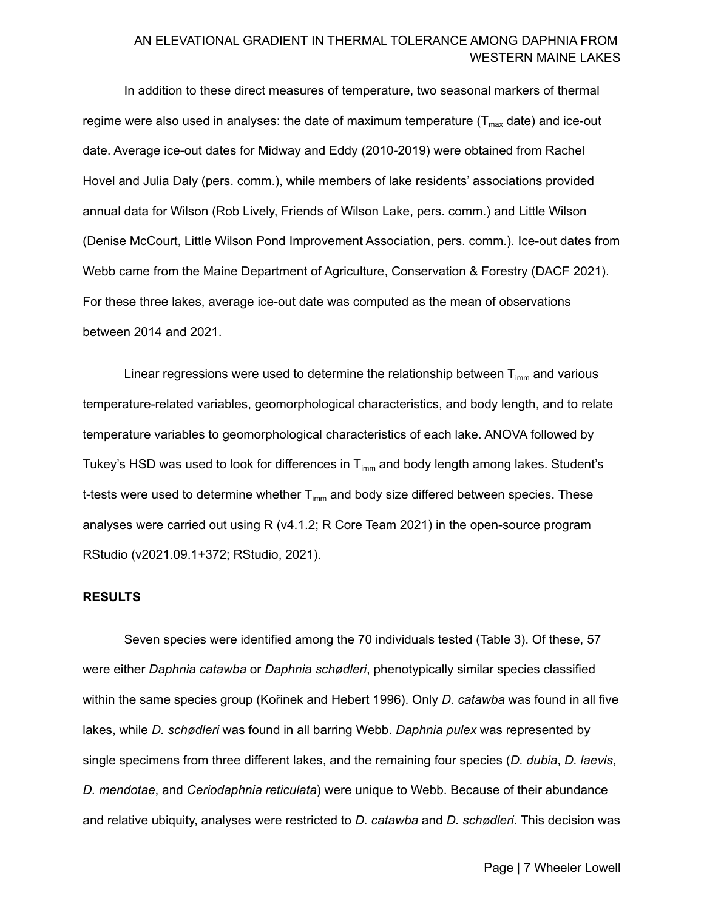In addition to these direct measures of temperature, two seasonal markers of thermal regime were also used in analyses: the date of maximum temperature (T $_{\sf max}$  date) and ice-out date. Average ice-out dates for Midway and Eddy (2010-2019) were obtained from Rachel Hovel and Julia Daly (pers. comm.), while members of lake residents' associations provided annual data for Wilson (Rob Lively, Friends of Wilson Lake, pers. comm.) and Little Wilson (Denise McCourt, Little Wilson Pond Improvement Association, pers. comm.). Ice-out dates from Webb came from the Maine Department of Agriculture, Conservation & Forestry (DACF 2021). For these three lakes, average ice-out date was computed as the mean of observations between 2014 and 2021.

Linear regressions were used to determine the relationship between  ${\mathsf T}_{\textsf{imm}}$  and various temperature-related variables, geomorphological characteristics, and body length, and to relate temperature variables to geomorphological characteristics of each lake. ANOVA followed by Tukey's HSD was used to look for differences in  ${\mathsf T}_{\mathsf{imm}}$  and body length among lakes. Student's t-tests were used to determine whether  ${\mathsf T}_{\text{\rm imm}}$  and body size differed between species. These analyses were carried out using R (v4.1.2; R Core Team 2021) in the open-source program RStudio (v2021.09.1+372; RStudio, 2021).

#### **RESULTS**

 Seven species were identified among the 70 individuals tested (Table 3). Of these, 57 were either *Daphnia catawba* or *Daphnia schødleri*, phenotypically similar species classified within the same species group (Kořinek and Hebert 1996). Only *D. catawba* was found in all five lakes, while *D. schødleri* was found in all barring Webb. *Daphnia pulex* was represented by single specimens from three different lakes, and the remaining four species (*D. dubia*, *D. laevis*, *D. mendotae*, and *Ceriodaphnia reticulata*) were unique to Webb. Because of their abundance and relative ubiquity, analyses were restricted to *D. catawba* and *D. schødleri*. This decision was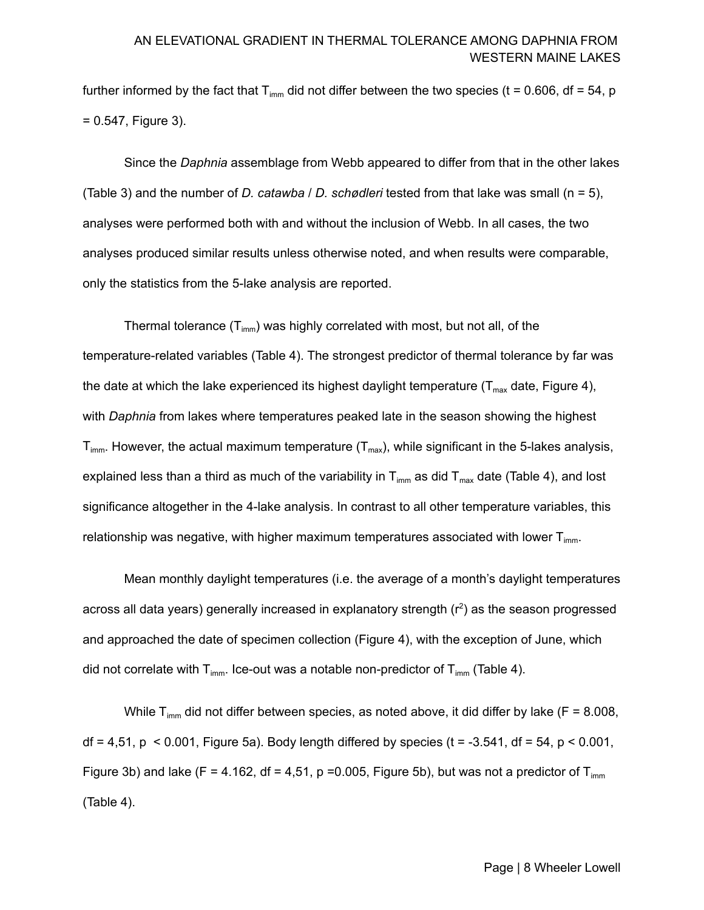further informed by the fact that T $_{\sf imm}$  did not differ between the two species (t = 0.606, df = 54, p = 0.547, Figure 3).

 Since the *Daphnia* assemblage from Webb appeared to differ from that in the other lakes (Table 3) and the number of *D. catawba* / *D. schødleri* tested from that lake was small (n = 5), analyses were performed both with and without the inclusion of Webb. In all cases, the two analyses produced similar results unless otherwise noted, and when results were comparable, only the statistics from the 5-lake analysis are reported.

Thermal tolerance (T $_{\text{imm}}$ ) was highly correlated with most, but not all, of the temperature-related variables (Table 4). The strongest predictor of thermal tolerance by far was the date at which the lake experienced its highest daylight temperature (T $_{\sf max}$  date, Figure 4), with *Daphnia* from lakes where temperatures peaked late in the season showing the highest  ${\mathsf T}_{\textsf{imm}}.$  However, the actual maximum temperature ( ${\mathsf T}_{\textsf{max}}$ ), while significant in the 5-lakes analysis, explained less than a third as much of the variability in T $_{\sf imm}$  as did T $_{\sf max}$  date (Table 4), and lost significance altogether in the 4-lake analysis. In contrast to all other temperature variables, this relationship was negative, with higher maximum temperatures associated with lower  $\mathsf{T}_{\mathsf{imm}}.$ 

 Mean monthly daylight temperatures (i.e. the average of a month's daylight temperatures across all data years) generally increased in explanatory strength  $(r^2)$  as the season progressed and approached the date of specimen collection (Figure 4), with the exception of June, which did not correlate with T<sub>imm</sub>. Ice-out was a notable non-predictor of T<sub>imm</sub> (Table 4).

While T $_{\text{imm}}$  did not differ between species, as noted above, it did differ by lake (F = 8.008, df = 4,51, p < 0.001, Figure 5a). Body length differed by species (t = -3.541, df = 54, p < 0.001, Figure 3b) and lake (F = 4.162, df = 4,51, p = 0.005, Figure 5b), but was not a predictor of T<sub>imm</sub> (Table 4).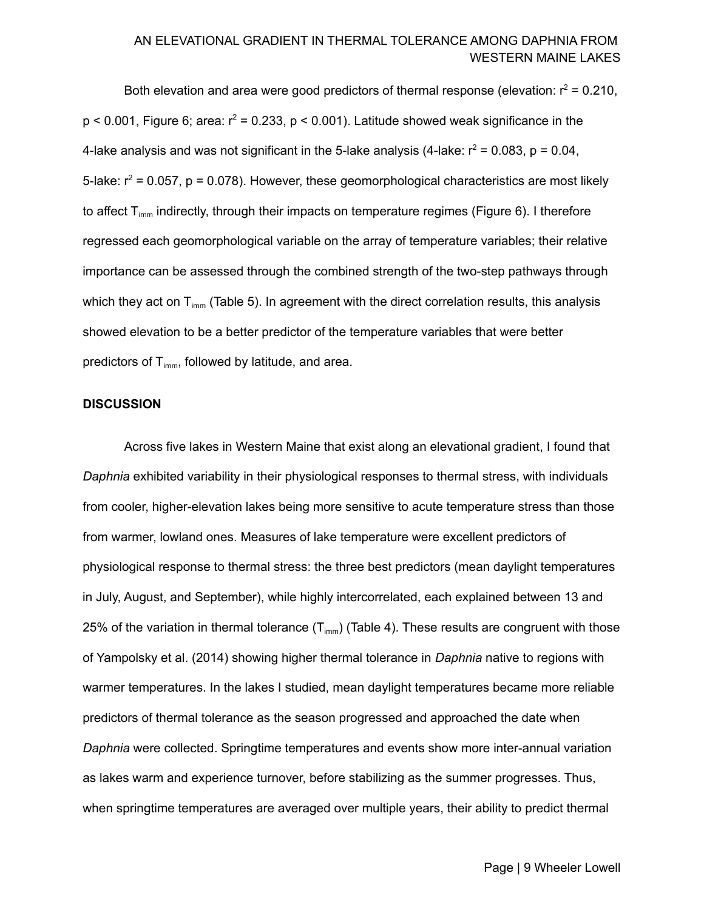Both elevation and area were good predictors of thermal response (elevation:  $r^2$  = 0.210,  $p < 0.001$ , Figure 6; area:  $r^2 = 0.233$ ,  $p < 0.001$ ). Latitude showed weak significance in the 4-lake analysis and was not significant in the 5-lake analysis (4-lake:  $r^2$  = 0.083, p = 0.04, 5-lake:  $r^2$  = 0.057, p = 0.078). However, these geomorphological characteristics are most likely to affect T<sub>imm</sub> indirectly, through their impacts on temperature regimes (Figure 6). I therefore regressed each geomorphological variable on the array of temperature variables; their relative importance can be assessed through the combined strength of the two-step pathways through which they act on T $_{\sf imm}$  (Table 5). In agreement with the direct correlation results, this analysis showed elevation to be a better predictor of the temperature variables that were better predictors of  $T_{\text{imm}}$ , followed by latitude, and area.

#### **DISCUSSION**

 Across five lakes in Western Maine that exist along an elevational gradient, I found that *Daphnia* exhibited variability in their physiological responses to thermal stress, with individuals from cooler, higher-elevation lakes being more sensitive to acute temperature stress than those from warmer, lowland ones. Measures of lake temperature were excellent predictors of physiological response to thermal stress: the three best predictors (mean daylight temperatures in July, August, and September), while highly intercorrelated, each explained between 13 and 25% of the variation in thermal tolerance (T<sub>imm</sub>) (Table 4). These results are congruent with those of Yampolsky et al. (2014) showing higher thermal tolerance in *Daphnia* native to regions with warmer temperatures. In the lakes I studied, mean daylight temperatures became more reliable predictors of thermal tolerance as the season progressed and approached the date when *Daphnia* were collected. Springtime temperatures and events show more inter-annual variation as lakes warm and experience turnover, before stabilizing as the summer progresses. Thus, when springtime temperatures are averaged over multiple years, their ability to predict thermal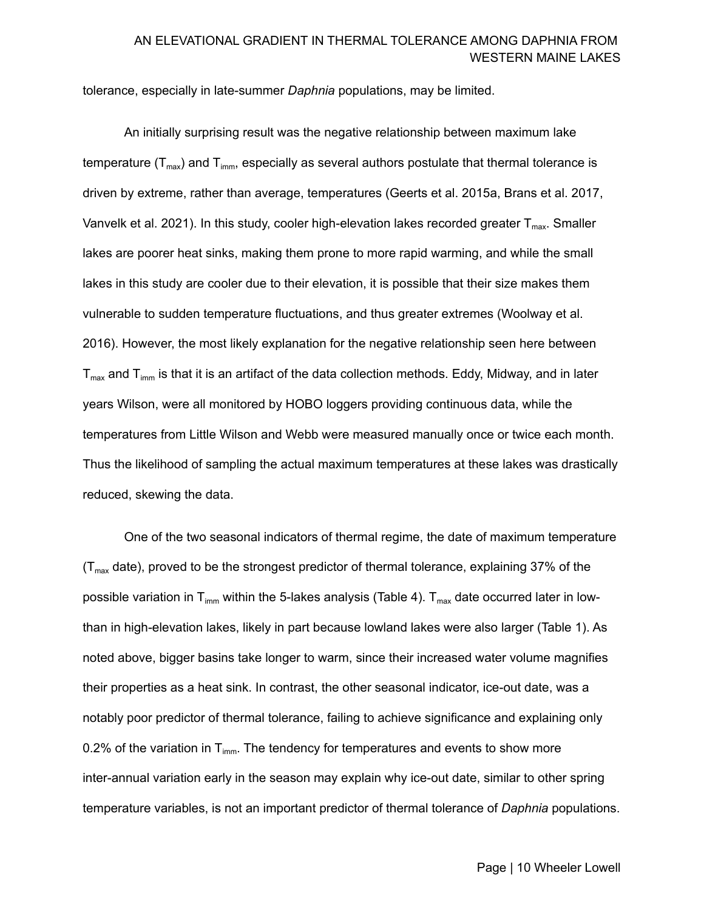tolerance, especially in late-summer *Daphnia* populations, may be limited.

 An initially surprising result was the negative relationship between maximum lake temperature (T $_{\sf max}$ ) and T $_{\sf imm}$ , especially as several authors postulate that thermal tolerance is driven by extreme, rather than average, temperatures (Geerts et al. 2015a, Brans et al. 2017, Vanvelk et al. 2021). In this study, cooler high-elevation lakes recorded greater T $_{\sf max}$ . Smaller lakes are poorer heat sinks, making them prone to more rapid warming, and while the small lakes in this study are cooler due to their elevation, it is possible that their size makes them vulnerable to sudden temperature fluctuations, and thus greater extremes (Woolway et al. 2016). However, the most likely explanation for the negative relationship seen here between  ${\sf T}_{\sf max}$  and  ${\sf T}_{\sf imm}$  is that it is an artifact of the data collection methods. Eddy, Midway, and in later years Wilson, were all monitored by HOBO loggers providing continuous data, while the temperatures from Little Wilson and Webb were measured manually once or twice each month. Thus the likelihood of sampling the actual maximum temperatures at these lakes was drastically reduced, skewing the data.

 One of the two seasonal indicators of thermal regime, the date of maximum temperature (T<sub>max</sub> date), proved to be the strongest predictor of thermal tolerance, explaining 37% of the possible variation in T<sub>imm</sub> within the 5-lakes analysis (Table 4). T<sub>max</sub> date occurred later in low- than in high-elevation lakes, likely in part because lowland lakes were also larger (Table 1). As noted above, bigger basins take longer to warm, since their increased water volume magnifies their properties as a heat sink. In contrast, the other seasonal indicator, ice-out date, was a notably poor predictor of thermal tolerance, failing to achieve significance and explaining only 0.2% of the variation in T<sub>imm</sub>. The tendency for temperatures and events to show more inter-annual variation early in the season may explain why ice-out date, similar to other spring temperature variables, is not an important predictor of thermal tolerance of *Daphnia* populations.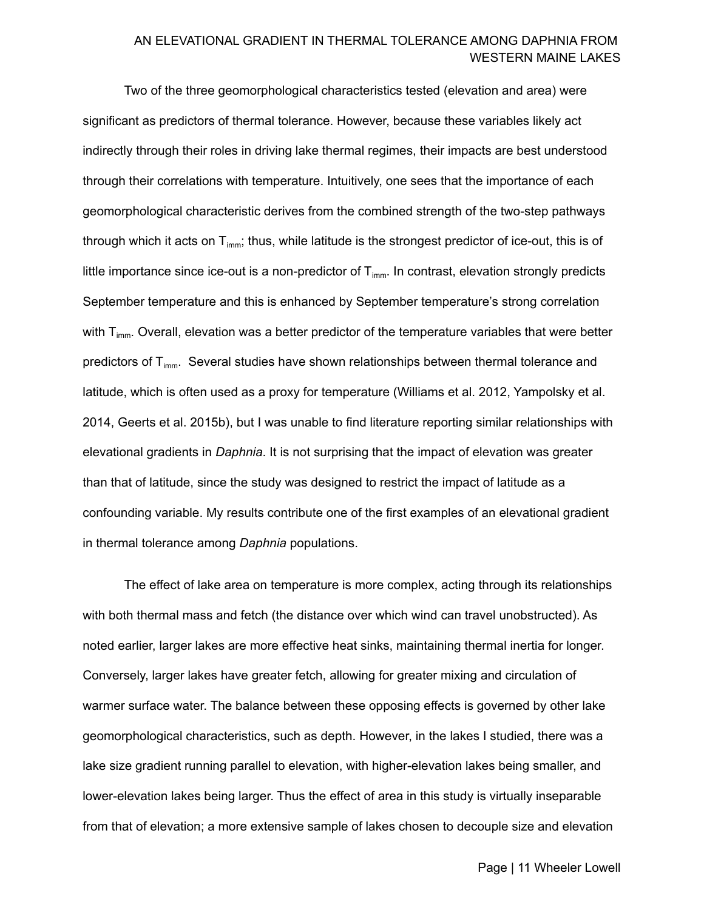Two of the three geomorphological characteristics tested (elevation and area) were significant as predictors of thermal tolerance. However, because these variables likely act indirectly through their roles in driving lake thermal regimes, their impacts are best understood through their correlations with temperature. Intuitively, one sees that the importance of each geomorphological characteristic derives from the combined strength of the two-step pathways through which it acts on T $_{\sf imm}$ ; thus, while latitude is the strongest predictor of ice-out, this is of little importance since ice-out is a non-predictor of  $T_{\text{imm}}$ . In contrast, elevation strongly predicts September temperature and this is enhanced by September temperature's strong correlation with T $_{\text{imm}}$ . Overall, elevation was a better predictor of the temperature variables that were better predictors of T<sub>imm</sub>. Several studies have shown relationships between thermal tolerance and latitude, which is often used as a proxy for temperature (Williams et al. 2012, Yampolsky et al. 2014, Geerts et al. 2015b), but I was unable to find literature reporting similar relationships with elevational gradients in *Daphnia*. It is not surprising that the impact of elevation was greater than that of latitude, since the study was designed to restrict the impact of latitude as a confounding variable. My results contribute one of the first examples of an elevational gradient in thermal tolerance among *Daphnia* populations.

 The effect of lake area on temperature is more complex, acting through its relationships with both thermal mass and fetch (the distance over which wind can travel unobstructed). As noted earlier, larger lakes are more effective heat sinks, maintaining thermal inertia for longer. Conversely, larger lakes have greater fetch, allowing for greater mixing and circulation of warmer surface water. The balance between these opposing effects is governed by other lake geomorphological characteristics, such as depth. However, in the lakes I studied, there was a lake size gradient running parallel to elevation, with higher-elevation lakes being smaller, and lower-elevation lakes being larger. Thus the effect of area in this study is virtually inseparable from that of elevation; a more extensive sample of lakes chosen to decouple size and elevation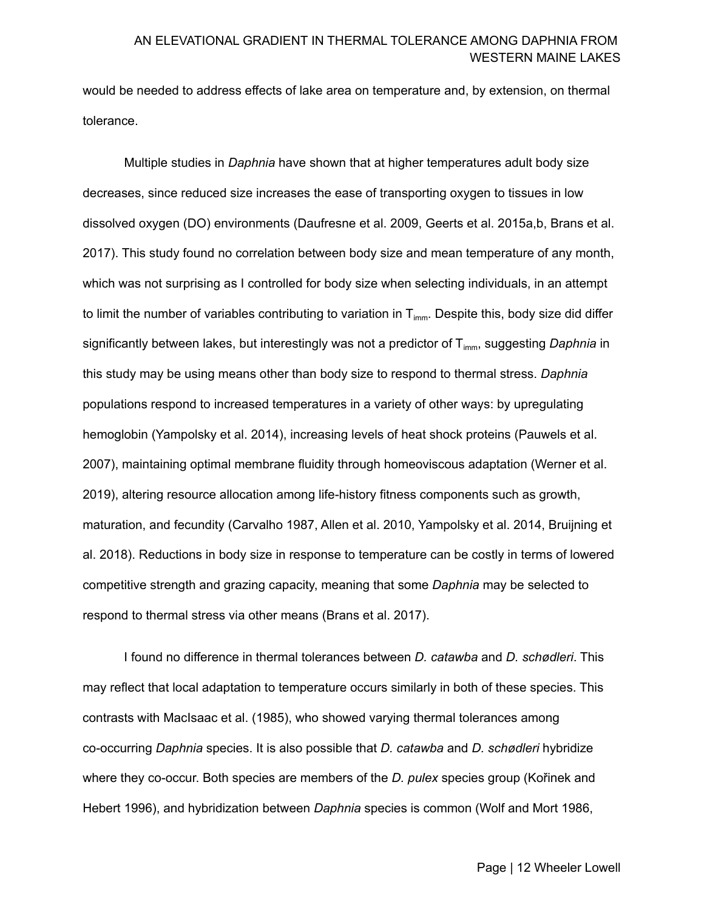would be needed to address effects of lake area on temperature and, by extension, on thermal tolerance.

 Multiple studies in *Daphnia* have shown that at higher temperatures adult body size decreases, since reduced size increases the ease of transporting oxygen to tissues in low dissolved oxygen (DO) environments (Daufresne et al. 2009, Geerts et al. 2015a,b, Brans et al. 2017). This study found no correlation between body size and mean temperature of any month, which was not surprising as I controlled for body size when selecting individuals, in an attempt to limit the number of variables contributing to variation in T $_{\sf imm}$ . Despite this, body size did differ significantly between lakes, but interestingly was not a predictor of T<sub>imm</sub>, suggesting *Daphnia* in this study may be using means other than body size to respond to thermal stress. *Daphnia* populations respond to increased temperatures in a variety of other ways: by upregulating hemoglobin (Yampolsky et al. 2014), increasing levels of heat shock proteins (Pauwels et al. 2007), maintaining optimal membrane fluidity through homeoviscous adaptation (Werner et al. 2019), altering resource allocation among life-history fitness components such as growth, maturation, and fecundity (Carvalho 1987, Allen et al. 2010, Yampolsky et al. 2014, Bruijning et al. 2018). Reductions in body size in response to temperature can be costly in terms of lowered competitive strength and grazing capacity, meaning that some *Daphnia* may be selected to respond to thermal stress via other means (Brans et al. 2017).

 I found no difference in thermal tolerances between *D. catawba* and *D. schødleri*. This may reflect that local adaptation to temperature occurs similarly in both of these species. This contrasts with MacIsaac et al. (1985), who showed varying thermal tolerances among co-occurring *Daphnia* species. It is also possible that *D. catawba* and *D. schødleri* hybridize where they co-occur. Both species are members of the *D. pulex* species group (Kořinek and Hebert 1996), and hybridization between *Daphnia* species is common (Wolf and Mort 1986,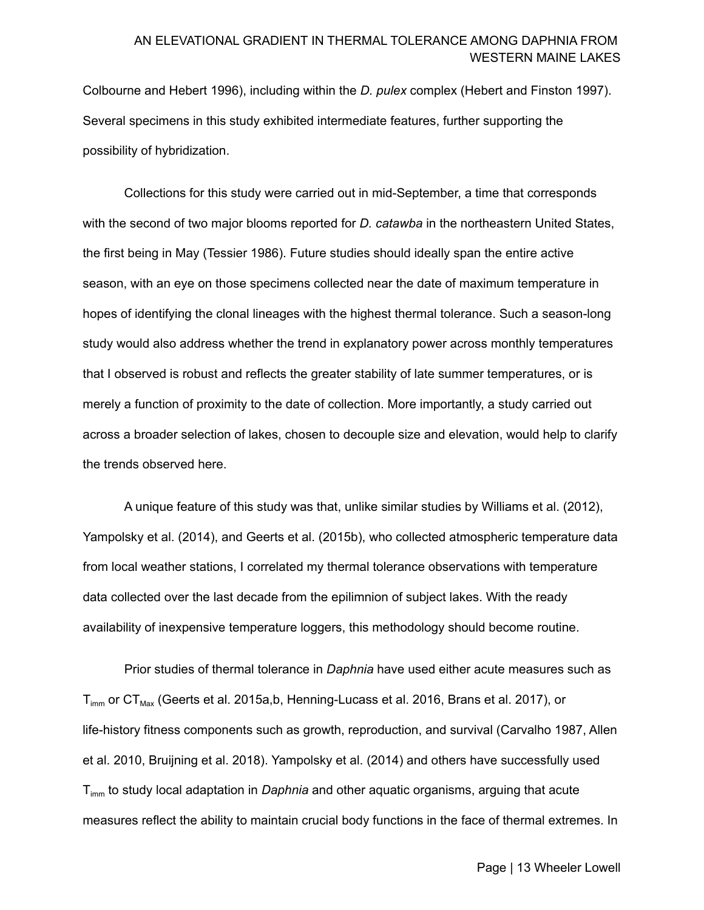Colbourne and Hebert 1996), including within the *D. pulex* complex (Hebert and Finston 1997). Several specimens in this study exhibited intermediate features, further supporting the possibility of hybridization.

 Collections for this study were carried out in mid-September, a time that corresponds with the second of two major blooms reported for *D. catawba* in the northeastern United States, the first being in May (Tessier 1986). Future studies should ideally span the entire active season, with an eye on those specimens collected near the date of maximum temperature in hopes of identifying the clonal lineages with the highest thermal tolerance. Such a season-long study would also address whether the trend in explanatory power across monthly temperatures that I observed is robust and reflects the greater stability of late summer temperatures, or is merely a function of proximity to the date of collection. More importantly, a study carried out across a broader selection of lakes, chosen to decouple size and elevation, would help to clarify the trends observed here.

 A unique feature of this study was that, unlike similar studies by Williams et al. (2012), Yampolsky et al. (2014), and Geerts et al. (2015b), who collected atmospheric temperature data from local weather stations, I correlated my thermal tolerance observations with temperature data collected over the last decade from the epilimnion of subject lakes. With the ready availability of inexpensive temperature loggers, this methodology should become routine.

 Prior studies of thermal tolerance in *Daphnia* have used either acute measures such as  ${\sf T}_{\sf imm}$  or  ${\sf CT}_{\sf Max}$  (Geerts et al. 2015a,b, Henning-Lucass et al. 2016, Brans et al. 2017), or life-history fitness components such as growth, reproduction, and survival (Carvalho 1987, Allen et al. 2010, Bruijning et al. 2018). Yampolsky et al. (2014) and others have successfully used Timm to study local adaptation in *Daphnia* and other aquatic organisms, arguing that acute measures reflect the ability to maintain crucial body functions in the face of thermal extremes. In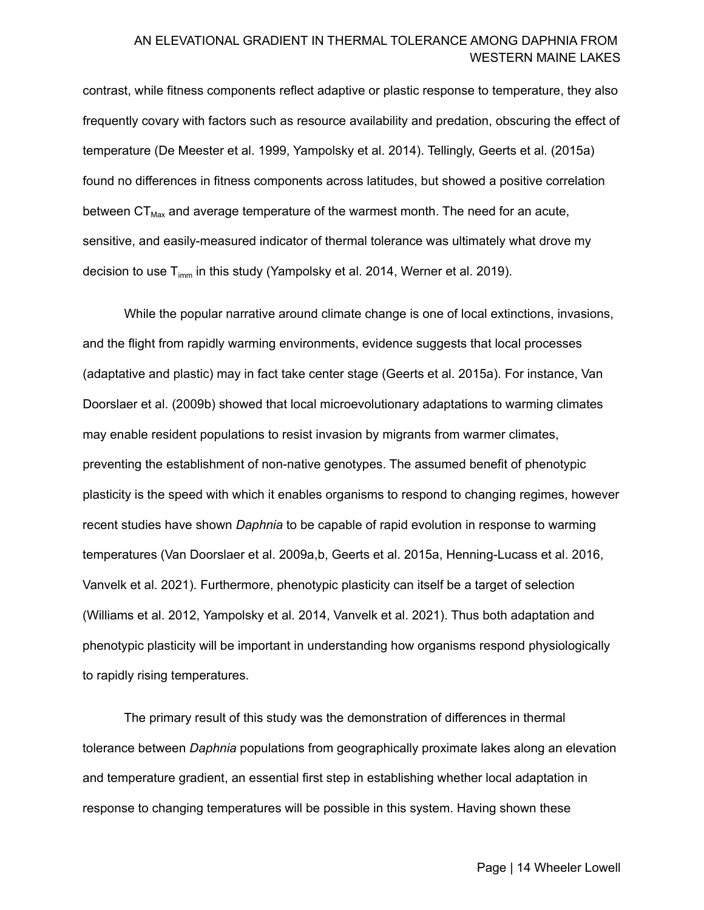contrast, while fitness components reflect adaptive or plastic response to temperature, they also frequently covary with factors such as resource availability and predation, obscuring the effect of temperature (De Meester et al. 1999, Yampolsky et al. 2014). Tellingly, Geerts et al. (2015a) found no differences in fitness components across latitudes, but showed a positive correlation between  $CT_{\text{Max}}$  and average temperature of the warmest month. The need for an acute, sensitive, and easily-measured indicator of thermal tolerance was ultimately what drove my decision to use T $_{\sf imm}$  in this study (Yampolsky et al. 2014, Werner et al. 2019).

 While the popular narrative around climate change is one of local extinctions, invasions, and the flight from rapidly warming environments, evidence suggests that local processes (adaptative and plastic) may in fact take center stage (Geerts et al. 2015a). For instance, Van Doorslaer et al. (2009b) showed that local microevolutionary adaptations to warming climates may enable resident populations to resist invasion by migrants from warmer climates, preventing the establishment of non-native genotypes. The assumed benefit of phenotypic plasticity is the speed with which it enables organisms to respond to changing regimes, however recent studies have shown *Daphnia* to be capable of rapid evolution in response to warming temperatures (Van Doorslaer et al. 2009a,b, Geerts et al. 2015a, Henning-Lucass et al. 2016, Vanvelk et al. 2021). Furthermore, phenotypic plasticity can itself be a target of selection (Williams et al. 2012, Yampolsky et al. 2014, Vanvelk et al. 2021). Thus both adaptation and phenotypic plasticity will be important in understanding how organisms respond physiologically to rapidly rising temperatures.

 The primary result of this study was the demonstration of differences in thermal tolerance between *Daphnia* populations from geographically proximate lakes along an elevation and temperature gradient, an essential first step in establishing whether local adaptation in response to changing temperatures will be possible in this system. Having shown these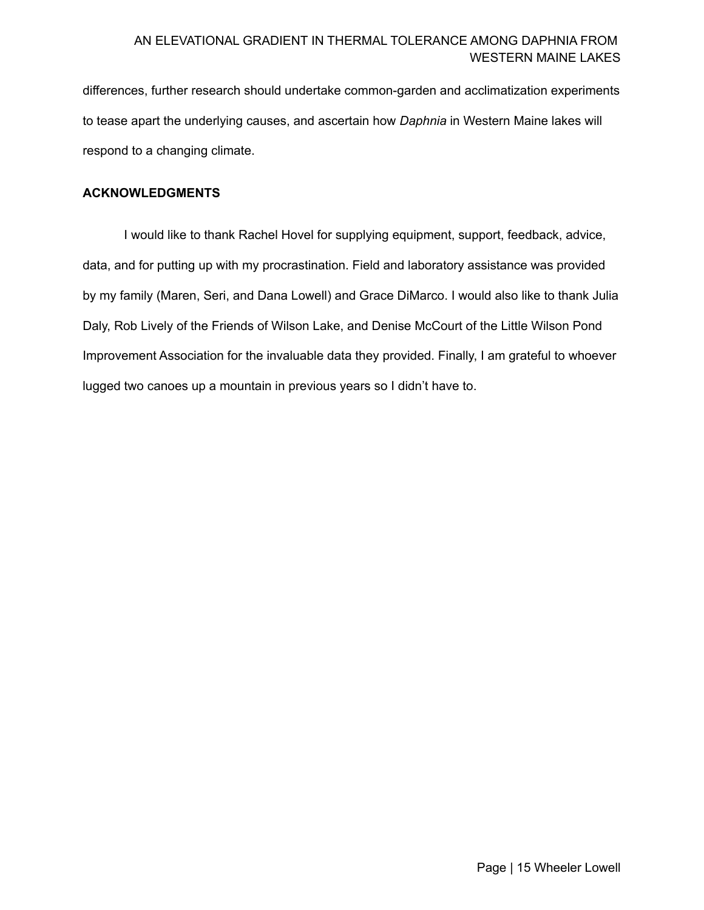differences, further research should undertake common-garden and acclimatization experiments to tease apart the underlying causes, and ascertain how *Daphnia* in Western Maine lakes will respond to a changing climate.

#### **ACKNOWLEDGMENTS**

 I would like to thank Rachel Hovel for supplying equipment, support, feedback, advice, data, and for putting up with my procrastination. Field and laboratory assistance was provided by my family (Maren, Seri, and Dana Lowell) and Grace DiMarco. I would also like to thank Julia Daly, Rob Lively of the Friends of Wilson Lake, and Denise McCourt of the Little Wilson Pond Improvement Association for the invaluable data they provided. Finally, I am grateful to whoever lugged two canoes up a mountain in previous years so I didn't have to.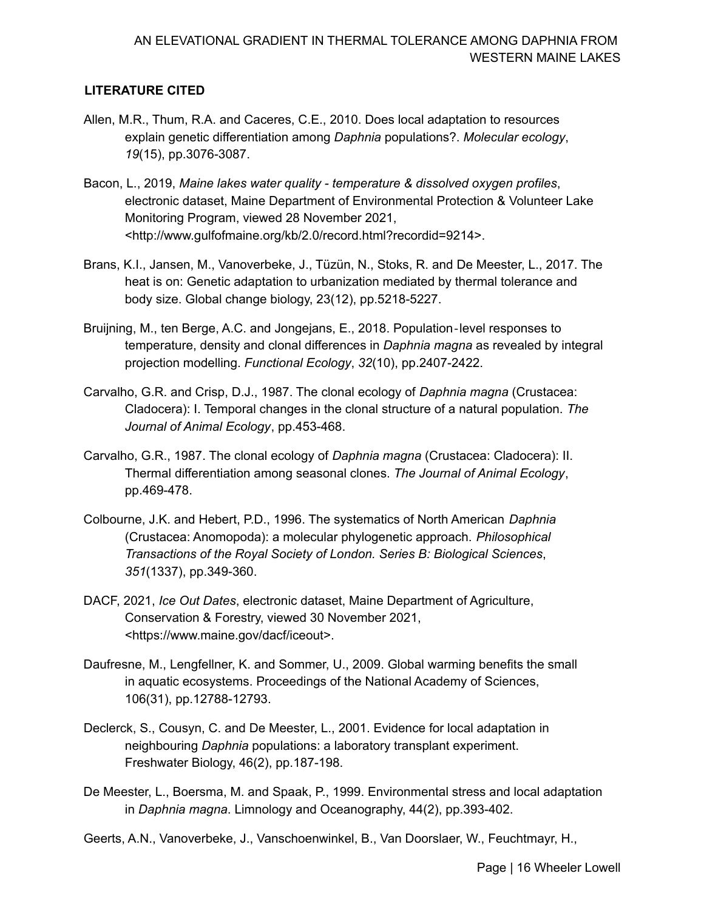# **LITERATURE CITED**

- Allen, M.R., Thum, R.A. and Caceres, C.E., 2010. Does local adaptation to resources explain genetic differentiation among *Daphnia* populations?. *Molecular ecology*, *19*(15), pp.3076-3087.
- Bacon, L., 2019, *Maine lakes water quality temperature & dissolved oxygen profiles*, electronic dataset, Maine Department of Environmental Protection & Volunteer Lake Monitoring Program, viewed 28 November 2021, [<http://www.gulfofmaine.org/kb/2.0/record.html?recordid=9214](http://www.gulfofmaine.org/kb/2.0/record.html?recordid=9214)>.
- Brans, K.I., Jansen, M., Vanoverbeke, J., Tüzün, N., Stoks, R. and De Meester, L., 2017. The heat is on: Genetic adaptation to urbanization mediated by thermal tolerance and body size. Global change biology, 23(12), pp.5218-5227.
- Bruijning, M., ten Berge, A.C. and Jongejans, E., 2018. Population‐level responses to temperature, density and clonal differences in *Daphnia magna* as revealed by integral projection modelling. *Functional Ecology*, *32*(10), pp.2407-2422.
- Carvalho, G.R. and Crisp, D.J., 1987. The clonal ecology of *Daphnia magna* (Crustacea: Cladocera): I. Temporal changes in the clonal structure of a natural population. *The Journal of Animal Ecology*, pp.453-468.
- Carvalho, G.R., 1987. The clonal ecology of *Daphnia magna* (Crustacea: Cladocera): II. Thermal differentiation among seasonal clones. *The Journal of Animal Ecology*, pp.469-478.
- Colbourne, J.K. and Hebert, P.D., 1996. The systematics of North American *Daphnia* (Crustacea: Anomopoda): a molecular phylogenetic approach. *Philosophical Transactions of the Royal Society of London. Series B: Biological Sciences*, *351*(1337), pp.349-360.
- DACF, 2021, *Ice Out Dates*, electronic dataset, Maine Department of Agriculture, Conservation & Forestry, viewed 30 November 2021, [<https://www.maine.gov/dacf/iceout](https://www.maine.gov/dacf/iceout)>.
- Daufresne, M., Lengfellner, K. and Sommer, U., 2009. Global warming benefits the small in aquatic ecosystems. Proceedings of the National Academy of Sciences, 106(31), pp.12788-12793.
- Declerck, S., Cousyn, C. and De Meester, L., 2001. Evidence for local adaptation in neighbouring *Daphnia* populations: a laboratory transplant experiment. Freshwater Biology, 46(2), pp.187-198.
- De Meester, L., Boersma, M. and Spaak, P., 1999. Environmental stress and local adaptation in *Daphnia magna*. Limnology and Oceanography, 44(2), pp.393-402.
- Geerts, A.N., Vanoverbeke, J., Vanschoenwinkel, B., Van Doorslaer, W., Feuchtmayr, H.,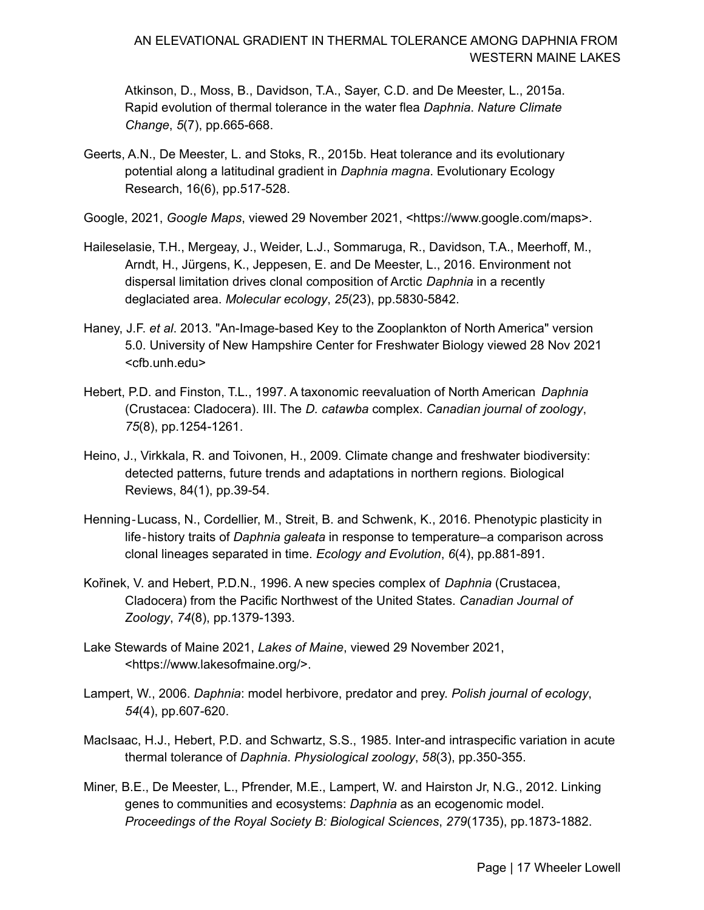Atkinson, D., Moss, B., Davidson, T.A., Sayer, C.D. and De Meester, L., 2015a. Rapid evolution of thermal tolerance in the water flea *Daphnia*. *Nature Climate Change*, *5*(7), pp.665-668.

- Geerts, A.N., De Meester, L. and Stoks, R., 2015b. Heat tolerance and its evolutionary potential along a latitudinal gradient in *Daphnia magna*. Evolutionary Ecology Research, 16(6), pp.517-528.
- Google, 2021, *Google Maps*, viewed 29 November 2021, <[https://www.google.com/maps>](https://www.google.com/maps).
- Haileselasie, T.H., Mergeay, J., Weider, L.J., Sommaruga, R., Davidson, T.A., Meerhoff, M., Arndt, H., Jürgens, K., Jeppesen, E. and De Meester, L., 2016. Environment not dispersal limitation drives clonal composition of Arctic *Daphnia* in a recently deglaciated area. *Molecular ecology*, *25*(23), pp.5830-5842.
- Haney, J.F. *et al*. 2013. "An-Image-based Key to the Zooplankton of North America" version 5.0. University of New Hampshire Center for Freshwater Biology viewed 28 Nov 2021 [<cfb.unh.edu>](https://cfb.unh.edu)
- Hebert, P.D. and Finston, T.L., 1997. A taxonomic reevaluation of North American *Daphnia* (Crustacea: Cladocera). III. The *D. catawba* complex. *Canadian journal of zoology*, *75*(8), pp.1254-1261.
- Heino, J., Virkkala, R. and Toivonen, H., 2009. Climate change and freshwater biodiversity: detected patterns, future trends and adaptations in northern regions. Biological Reviews, 84(1), pp.39-54.
- Henning‐Lucass, N., Cordellier, M., Streit, B. and Schwenk, K., 2016. Phenotypic plasticity in life‐history traits of *Daphnia galeata* in response to temperature–a comparison across clonal lineages separated in time. *Ecology and Evolution*, *6*(4), pp.881-891.
- Kořinek, V. and Hebert, P.D.N., 1996. A new species complex of *Daphnia* (Crustacea, Cladocera) from the Pacific Northwest of the United States. *Canadian Journal of Zoology*, *74*(8), pp.1379-1393.
- Lake Stewards of Maine 2021, *Lakes of Maine*, viewed 29 November 2021, [<https://www.lakesofmaine.org](https://www.lakesofmaine.org)/>.
- Lampert, W., 2006. *Daphnia*: model herbivore, predator and prey. *Polish journal of ecology*, *54*(4), pp.607-620.
- MacIsaac, H.J., Hebert, P.D. and Schwartz, S.S., 1985. Inter-and intraspecific variation in acute thermal tolerance of *Daphnia*. *Physiological zoology*, *58*(3), pp.350-355.
- Miner, B.E., De Meester, L., Pfrender, M.E., Lampert, W. and Hairston Jr, N.G., 2012. Linking genes to communities and ecosystems: *Daphnia* as an ecogenomic model.  *Proceedings of the Royal Society B: Biological Sciences*, *279*(1735), pp.1873-1882.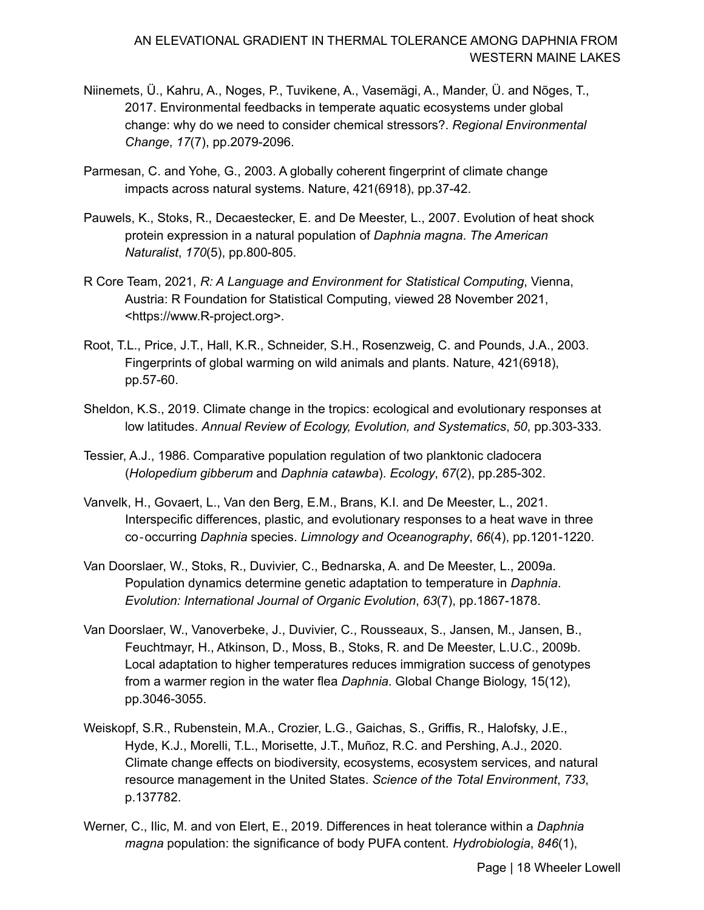- Niinemets, Ü., Kahru, A., Noges, P., Tuvikene, A., Vasemägi, A., Mander, Ü. and Nõges, T., 2017. Environmental feedbacks in temperate aquatic ecosystems under global change: why do we need to consider chemical stressors?. *Regional Environmental Change*, *17*(7), pp.2079-2096.
- Parmesan, C. and Yohe, G., 2003. A globally coherent fingerprint of climate change impacts across natural systems. Nature, 421(6918), pp.37-42.
- Pauwels, K., Stoks, R., Decaestecker, E. and De Meester, L., 2007. Evolution of heat shock protein expression in a natural population of *Daphnia magna*. *The American Naturalist*, *170*(5), pp.800-805.
- R Core Team, 2021, *R: A Language and Environment for Statistical Computing*, Vienna, Austria: R Foundation for Statistical Computing, viewed 28 November 2021, [<https://www.R-project.org>](https://www.R-project.org).
- Root, T.L., Price, J.T., Hall, K.R., Schneider, S.H., Rosenzweig, C. and Pounds, J.A., 2003. Fingerprints of global warming on wild animals and plants. Nature, 421(6918), pp.57-60.
- Sheldon, K.S., 2019. Climate change in the tropics: ecological and evolutionary responses at  low latitudes. *Annual Review of Ecology, Evolution, and Systematics*, *50*, pp.303-333.
- Tessier, A.J., 1986. Comparative population regulation of two planktonic cladocera (*Holopedium gibberum* and *Daphnia catawba*). *Ecology*, *67*(2), pp.285-302.
- Vanvelk, H., Govaert, L., Van den Berg, E.M., Brans, K.I. and De Meester, L., 2021. Interspecific differences, plastic, and evolutionary responses to a heat wave in three  co‐occurring *Daphnia* species. *Limnology and Oceanography*, *66*(4), pp.1201-1220.
- Van Doorslaer, W., Stoks, R., Duvivier, C., Bednarska, A. and De Meester, L., 2009a. Population dynamics determine genetic adaptation to temperature in *Daphnia*.  *Evolution: International Journal of Organic Evolution*, *63*(7), pp.1867-1878.
- Van Doorslaer, W., Vanoverbeke, J., Duvivier, C., Rousseaux, S., Jansen, M., Jansen, B., Feuchtmayr, H., Atkinson, D., Moss, B., Stoks, R. and De Meester, L.U.C., 2009b. Local adaptation to higher temperatures reduces immigration success of genotypes from a warmer region in the water flea *Daphnia*. Global Change Biology, 15(12), pp.3046-3055.
- Weiskopf, S.R., Rubenstein, M.A., Crozier, L.G., Gaichas, S., Griffis, R., Halofsky, J.E., Hyde, K.J., Morelli, T.L., Morisette, J.T., Muñoz, R.C. and Pershing, A.J., 2020. Climate change effects on biodiversity, ecosystems, ecosystem services, and natural resource management in the United States. *Science of the Total Environment*, *733*, p.137782.
- Werner, C., Ilic, M. and von Elert, E., 2019. Differences in heat tolerance within a *Daphnia magna* population: the significance of body PUFA content. *Hydrobiologia*, *846*(1),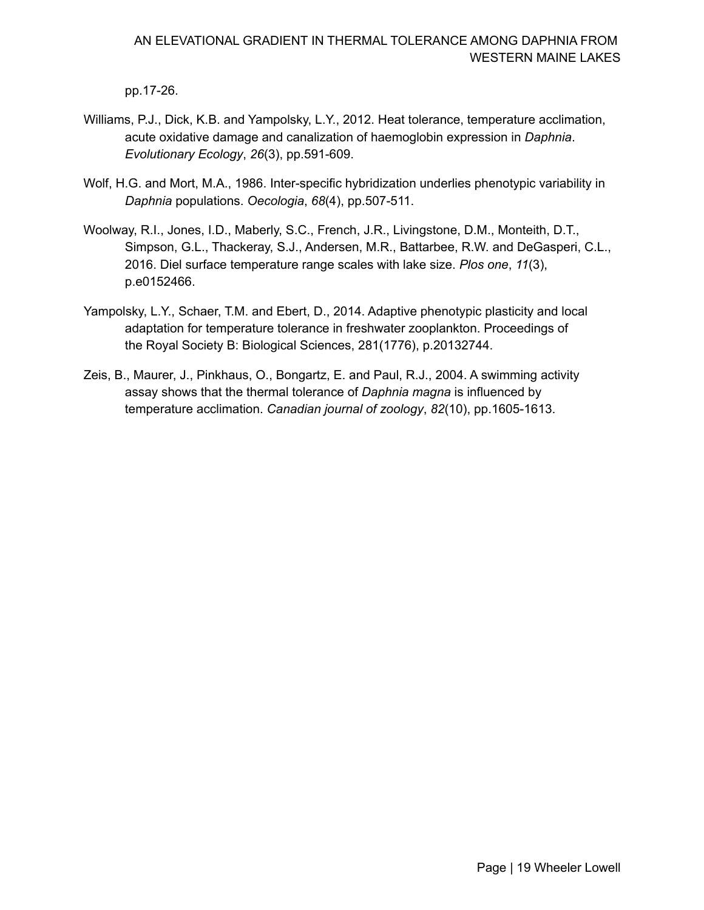pp.17-26.

- Williams, P.J., Dick, K.B. and Yampolsky, L.Y., 2012. Heat tolerance, temperature acclimation, acute oxidative damage and canalization of haemoglobin expression in *Daphnia*. *Evolutionary Ecology*, *26*(3), pp.591-609.
- Wolf, H.G. and Mort, M.A., 1986. Inter-specific hybridization underlies phenotypic variability in *Daphnia* populations. *Oecologia*, *68*(4), pp.507-511.
- Woolway, R.I., Jones, I.D., Maberly, S.C., French, J.R., Livingstone, D.M., Monteith, D.T., Simpson, G.L., Thackeray, S.J., Andersen, M.R., Battarbee, R.W. and DeGasperi, C.L., 2016. Diel surface temperature range scales with lake size. *Plos one*, *11*(3), p.e0152466.
- Yampolsky, L.Y., Schaer, T.M. and Ebert, D., 2014. Adaptive phenotypic plasticity and local adaptation for temperature tolerance in freshwater zooplankton. Proceedings of the Royal Society B: Biological Sciences, 281(1776), p.20132744.
- Zeis, B., Maurer, J., Pinkhaus, O., Bongartz, E. and Paul, R.J., 2004. A swimming activity assay shows that the thermal tolerance of *Daphnia magna* is influenced by  temperature acclimation. *Canadian journal of zoology*, *82*(10), pp.1605-1613.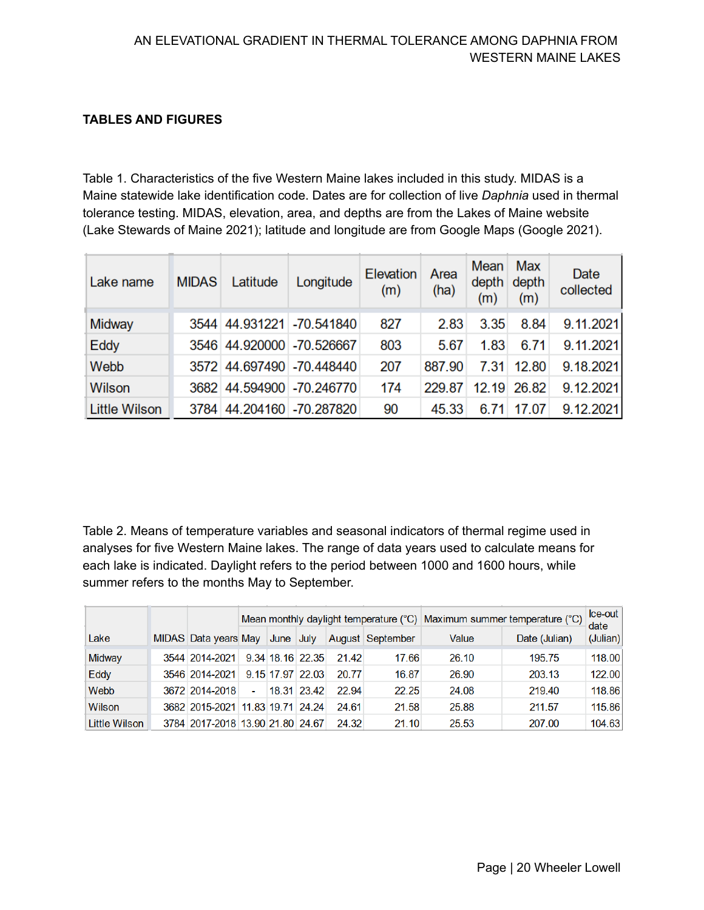## **TABLES AND FIGURES**

 Table 1. Characteristics of the five Western Maine lakes included in this study. MIDAS is a Maine statewide lake identification code. Dates are for collection of live *Daphnia* used in thermal tolerance testing. MIDAS, elevation, area, and depths are from the Lakes of Maine website (Lake Stewards of Maine 2021); latitude and longitude are from Google Maps (Google 2021).

| Lake name            | <b>MIDAS</b> | Latitude | Longitude                  | Elevation<br>(m) | Area<br>(ha) | Mean<br>depth<br>(m) | Max<br>depth<br>(m) | Date<br>collected |
|----------------------|--------------|----------|----------------------------|------------------|--------------|----------------------|---------------------|-------------------|
| Midway               |              |          | 3544 44.931221 -70.541840  | 827              | 2.83         | 3.35                 | 8.84                | 9.11.2021         |
| Eddy                 |              |          | 3546 44.920000 -70.526667  | 803              | 5.67         | 1.83                 | 6.71                | 9.11.2021         |
| Webb                 |              |          | 3572 44.697490 -70.448440  | 207              | 887.90       | 7.31                 | 12.80               | 9.18.2021         |
| Wilson               |              |          | 3682 44.594900 -70.246770  | 174              | 229.87       | 12.19                | 26.82               | 9.12.2021         |
| <b>Little Wilson</b> |              |          | 3784 44.204160 - 70.287820 | 90               | 45.33        | 6.71                 | 17.07               | 9.12.2021         |

 Table 2. Means of temperature variables and seasonal indicators of thermal regime used in analyses for five Western Maine lakes. The range of data years used to calculate means for each lake is indicated. Daylight refers to the period between 1000 and 1600 hours, while summer refers to the months May to September.

|               |                                  |                |                                                    |                  |       |               | Mean monthly daylight temperature (°C) Maximum summer temperature (°C) | Ice-out<br>date |        |
|---------------|----------------------------------|----------------|----------------------------------------------------|------------------|-------|---------------|------------------------------------------------------------------------|-----------------|--------|
| Lake          |                                  |                | MIDAS Data years May June July<br>August September |                  | Value | Date (Julian) | (Julian)                                                               |                 |        |
| Midway        | 3544 2014-2021                   |                |                                                    | 9.34 18.16 22.35 | 2142  | 17.66         | 26.10                                                                  | 195.75          | 118.00 |
| Eddy          | 3546 2014-2021                   |                |                                                    | 9.15 17.97 22.03 | 20.77 | 16.87         | 26.90                                                                  | 203.13          | 122.00 |
| Webb          | 3672 2014-2018                   | $\blacksquare$ |                                                    | 18.31 23.42      | 22.94 | 22.25         | 24.08                                                                  | 219.40          | 118.86 |
| Wilson        | 3682 2015-2021 11.83 19.71 24.24 |                |                                                    |                  | 24.61 | 21.58         | 25.88                                                                  | 211.57          | 115.86 |
| Little Wilson | 3784 2017-2018 13.90 21.80 24.67 |                |                                                    |                  | 24.32 | 21.10         | 25.53                                                                  | 207.00          | 104.63 |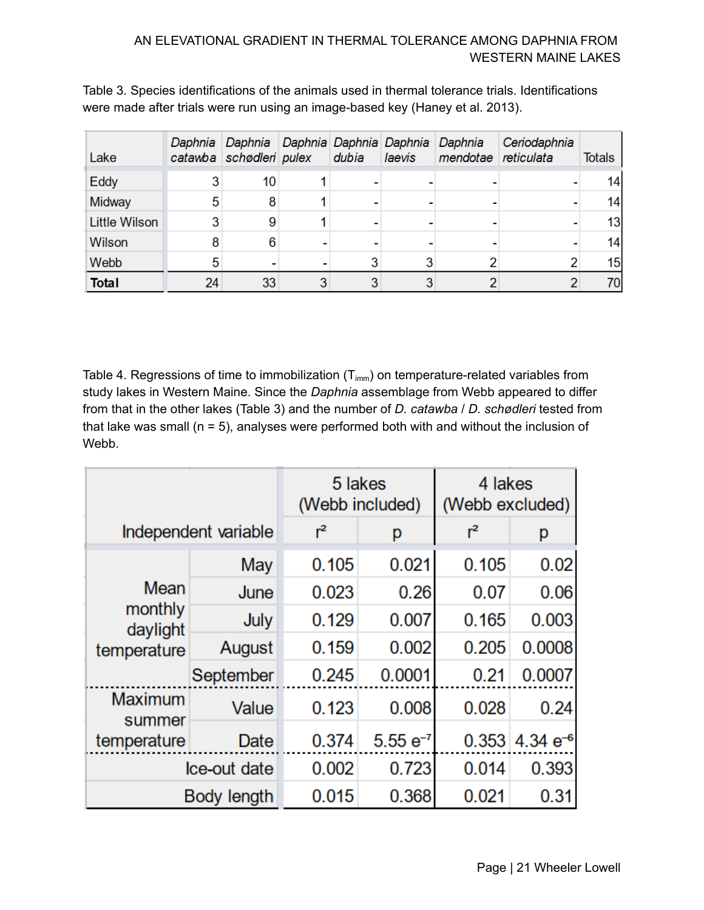| Lake                 |                 | Daphnia Daphnia Daphnia Daphnia Daphnia<br>catawba schødleri pulex | dubia | laevis | Daphnia<br>mendotae reticulata | Ceriodaphnia | <b>Totals</b> |
|----------------------|-----------------|--------------------------------------------------------------------|-------|--------|--------------------------------|--------------|---------------|
| <b>Eddy</b>          | 3               | 10                                                                 |       |        |                                |              | 14            |
| Midway               | 5               | 8                                                                  |       |        |                                |              | 14            |
| <b>Little Wilson</b> | 3               | 9                                                                  |       |        |                                |              | 13            |
| <b>Wilson</b>        | 8               | 6                                                                  |       |        |                                |              | 14            |
| Webb                 | 5               |                                                                    | 3     |        |                                |              | 15            |
| <b>Total</b>         | 24 <sub>1</sub> | 33                                                                 |       |        |                                |              | 70            |

 Table 3. Species identifications of the animals used in thermal tolerance trials. Identifications were made after trials were run using an image-based key (Haney et al. 2013).

Table 4. Regressions of time to immobilization (T $_{\text{imm}}$ ) on temperature-related variables from study lakes in Western Maine. Since the *Daphnia* assemblage from Webb appeared to differ from that in the other lakes (Table 3) and the number of *D. catawba* / *D. schødleri* tested from that lake was small (n = 5), analyses were performed both with and without the inclusion of Webb.

|                                    |                      | 5 lakes<br>(Webb included) |               | 4 lakes<br>(Webb excluded) |                       |  |  |
|------------------------------------|----------------------|----------------------------|---------------|----------------------------|-----------------------|--|--|
|                                    | Independent variable | $r^2$                      | р             | $r^2$                      | р                     |  |  |
|                                    | May                  | 0.105                      | 0.021         | 0.105                      | 0.02                  |  |  |
| Mean                               | June                 | 0.023                      | 0.26          | 0.07                       | 0.06                  |  |  |
| monthly<br>daylight<br>temperature | July                 | 0.129                      | 0.007         | 0.165                      | 0.003                 |  |  |
|                                    | August               | 0.159                      | 0.002         | 0.205                      | 0.0008                |  |  |
|                                    | September            | 0.245                      | 0.0001        | 0.21                       | 0.0007                |  |  |
| <b>Maximum</b><br>summer           | Value                | 0.123                      | 0.008         | 0.028                      | 0.24                  |  |  |
| temperature                        | Date                 | 0.374                      | $5.55 e^{-7}$ |                            | $0.353$ 4.34 $e^{-6}$ |  |  |
|                                    | Ice-out date         | 0.002                      | 0.723         | 0.014                      | 0.393                 |  |  |
|                                    | <b>Body length</b>   | 0.015                      | 0.368         | 0.021                      | 0.31                  |  |  |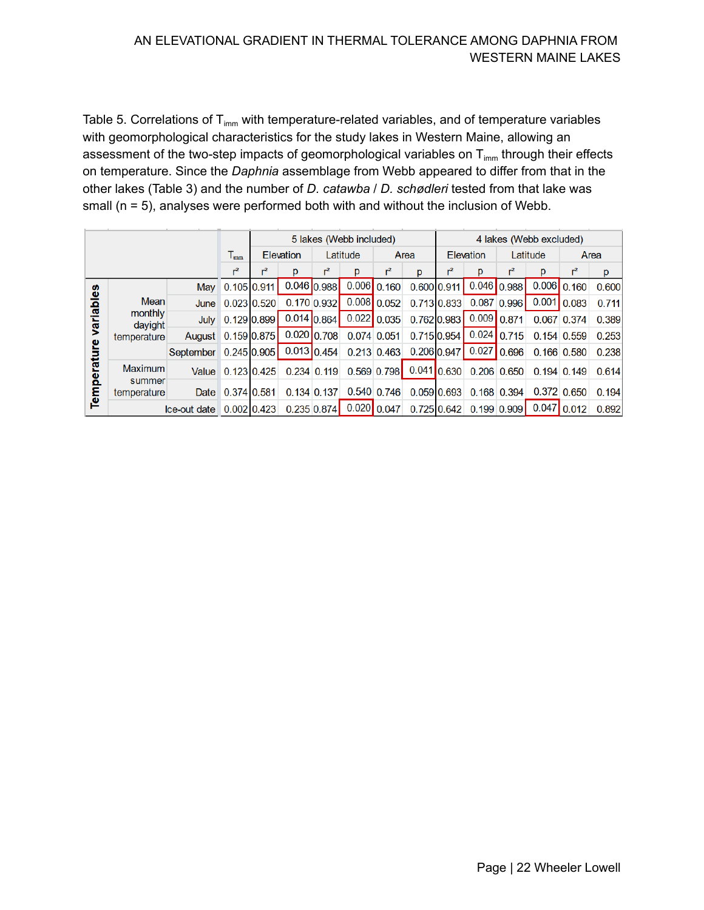Table 5. Correlations of T<sub>imm</sub> with temperature-related variables, and of temperature variables with geomorphological characteristics for the study lakes in Western Maine, allowing an assessment of the two-step impacts of geomorphological variables on  ${\mathsf T}_{\textsf{imm}}$  through their effects on temperature. Since the *Daphnia* assemblage from Webb appeared to differ from that in the other lakes (Table 3) and the number of *D. catawba* / *D. schødleri* tested from that lake was small (n = 5), analyses were performed both with and without the inclusion of Webb.

|           |                                                  |                       |                            | 5 lakes (Webb included) |               |                 |                                                      |                |                                       | 4 lakes (Webb excluded) |                         |                |          |                 |       |
|-----------|--------------------------------------------------|-----------------------|----------------------------|-------------------------|---------------|-----------------|------------------------------------------------------|----------------|---------------------------------------|-------------------------|-------------------------|----------------|----------|-----------------|-------|
|           |                                                  |                       | $\mathsf{T}_{\texttt{mm}}$ |                         | Elevation     |                 | Latitude                                             |                | Area                                  |                         | <b>Elevation</b>        |                | Latitude |                 | Area  |
|           |                                                  |                       | $r^2$                      | r <sup>2</sup>          | р             | $r^2$           | p                                                    | r <sup>2</sup> | p                                     |                         | p                       | r <sup>2</sup> | р        | $r^2$           | p     |
|           | <b>Mean</b><br>monthly<br>davight<br>temperature |                       | May 0.105 0.911            |                         |               | $0.046$ 0.988   |                                                      | $0.006$ 0.160  |                                       |                         | 0.600 0.911 0.046 0.988 |                |          | $0.006$ 0.160   | 0.600 |
|           |                                                  |                       | June 0.023 0.520           |                         |               | $0.170$ $0.932$ |                                                      | $0.008$ 0.052  | 0.713 0.833                           |                         |                         | $0.087$ 0.996  |          | $0.001$ 0.083   | 0.711 |
| variables |                                                  |                       | July 0.129 0.899           |                         | $0.014$ 0.864 |                 | $0.022$ 0.035                                        |                |                                       |                         | 0.762 0.983 0.009 0.871 |                |          | 0.067 0.374     | 0.389 |
|           |                                                  | August 0.159 0.875    |                            |                         |               |                 | $0.020$ 0.708 0.074 0.051                            |                |                                       |                         | 0.715 0.954 0.024 0.715 |                |          | 0.154 0.559     | 0.253 |
| rature    |                                                  | September 0.245 0.905 |                            |                         |               |                 | $0.013$ 0.454 0.213 0.463                            |                | $0.206 \, 0.947$                      |                         | $0.027$ 0.696           |                |          | $0.166$ 0.580   | 0.238 |
| Tempel    | <b>Maximum</b><br>summer<br>temperature          |                       | Value 0.123 0.425          |                         |               | $0.234$ 0.119   |                                                      |                | $0.569$ 0.798 0.041 0.630 0.206 0.650 |                         |                         |                |          | $0.194$ 0.149   | 0.614 |
|           |                                                  |                       | Date 0.374 0.581           |                         |               | $0.134$ 0.137   |                                                      | $0.540$ 0.746  |                                       | 0.059 0.693             |                         | 0.168 0.394    |          | $0.372$ $0.650$ | 0.194 |
|           | $\text{Ice-out date}$ 0.002 0.423                |                       |                            |                         |               |                 | $0.235 \, 0.874$ 0.020 0.047 0.725 0.642 0.199 0.909 |                |                                       |                         |                         |                |          | $0.047$ 0.012   | 0.892 |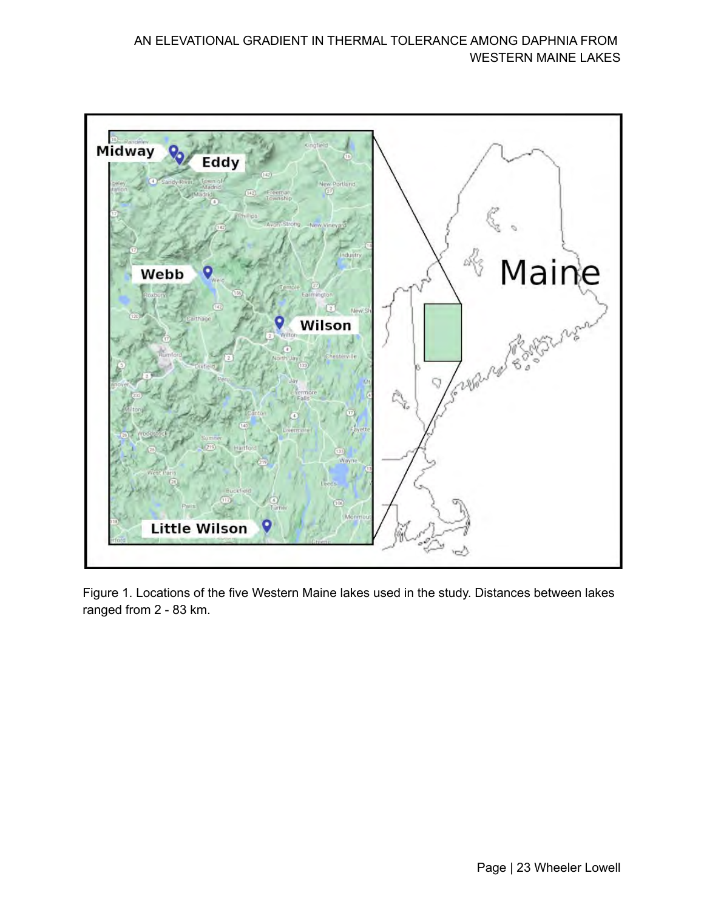

 Figure 1. Locations of the five Western Maine lakes used in the study. Distances between lakes ranged from 2 - 83 km.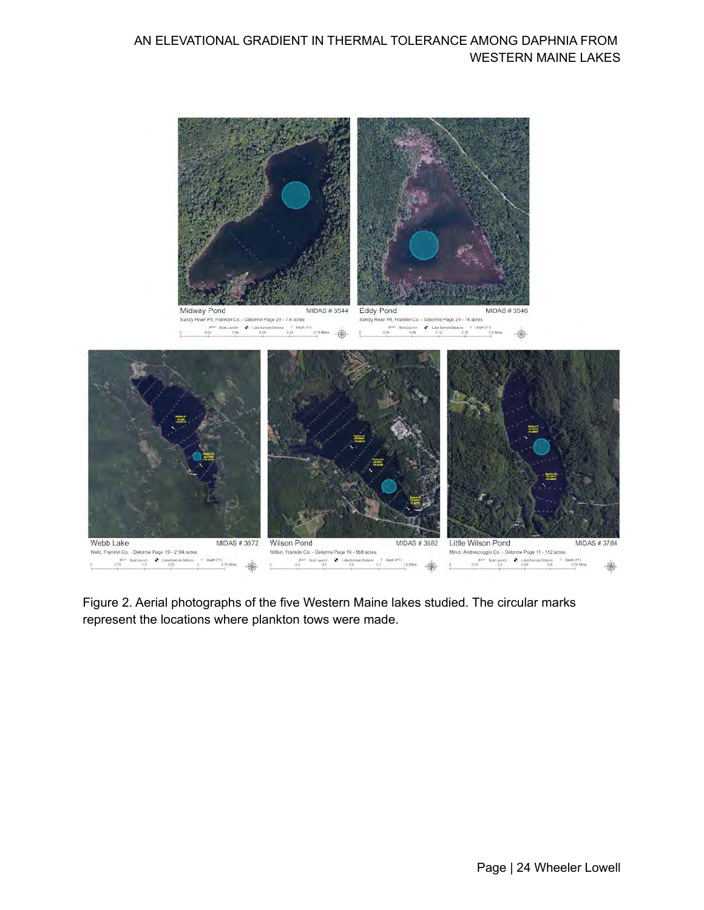

MIDAS #3544 Eddy Pond Sandy River Pit, Franklin Co. - Delomne Page 29 - 7.4 acres Sandy River Plt, Franklin Co - Delorme Page 29 - 14 acres  $\begin{tabular}{ccc} $\mathscr{P}^{\text{max}}$ & Band Larnch & $\Phi$ & Law Sarysk Blations & $\stackrel{\text{def}}{=} $D\psi_i(\theta)$ & $\text{[F1]}$ \\ $0.02$ & $0.09$ & $0.12$ \\ \end{tabular}$  $\hat{\circledast}$ 



 Figure 2. Aerial photographs of the five Western Maine lakes studied. The circular marks represent the locations where plankton tows were made.

**MIDAS #3546** 

 $\oplus$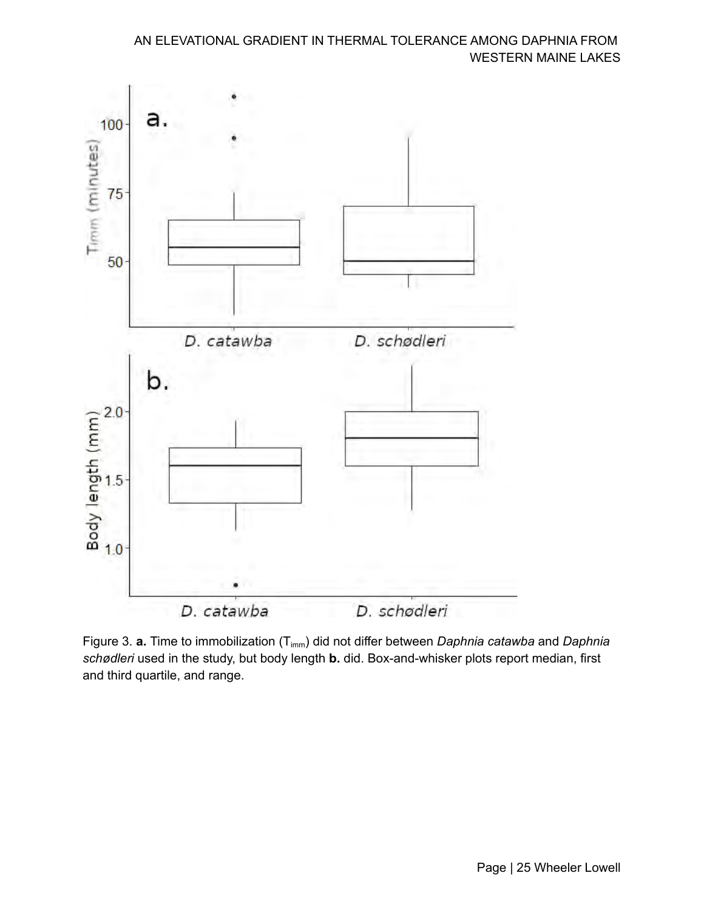

 Figure 3. **a.** Time to immobilization (Timm) did not differ between *Daphnia catawba* and *Daphnia schødleri* used in the study, but body length **b.** did. Box-and-whisker plots report median, first and third quartile, and range.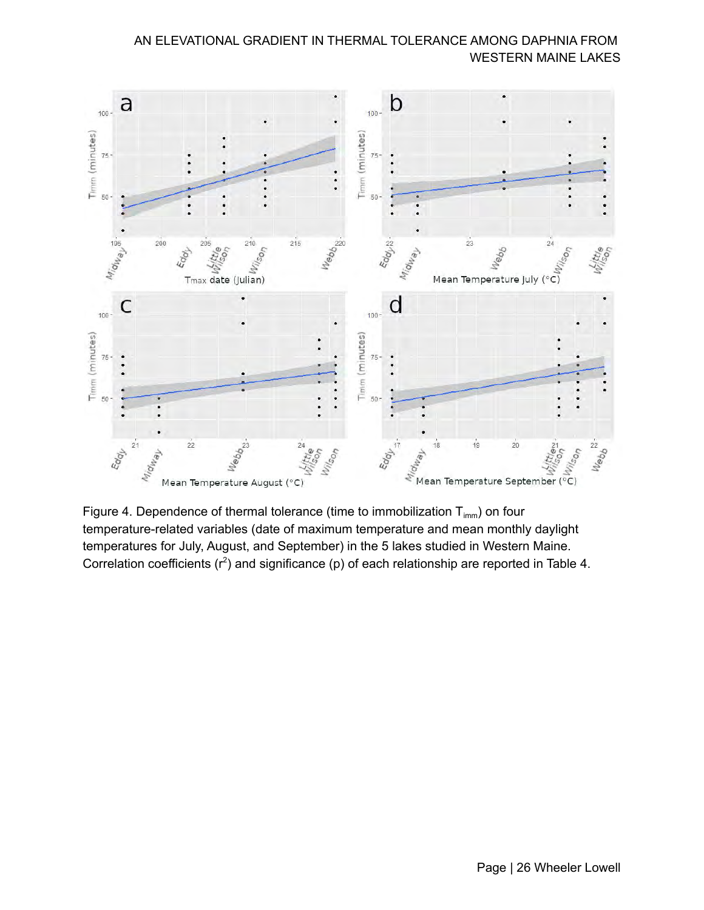

Figure 4. Dependence of thermal tolerance (time to immobilization  $\mathsf{T}_{\mathsf{imm}}$ ) on four temperature-related variables (date of maximum temperature and mean monthly daylight temperatures for July, August, and September) in the 5 lakes studied in Western Maine. Correlation coefficients ( $r^2$ ) and significance (p) of each relationship are reported in Table 4.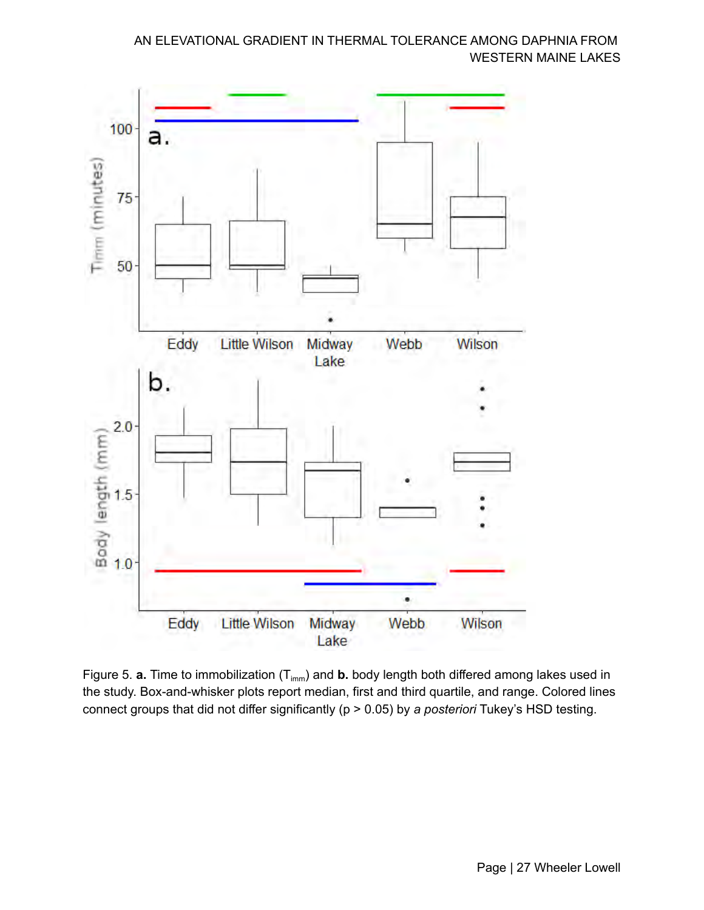

Figure 5. **a.** Time to immobilization (T<sub>imm</sub>) and **b.** body length both differed among lakes used in the study. Box-and-whisker plots report median, first and third quartile, and range. Colored lines connect groups that did not differ significantly (p > 0.05) by *a posteriori* Tukey's HSD testing.